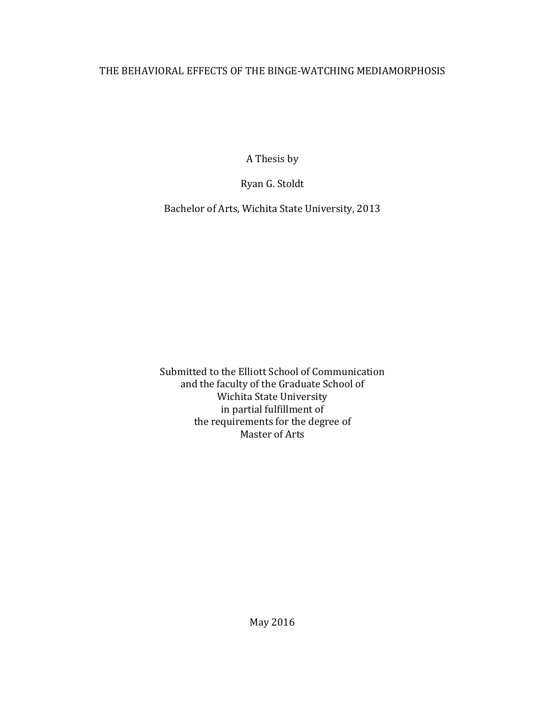# THE BEHAVIORAL EFFECTS OF THE BINGE-WATCHING MEDIAMORPHOSIS

A Thesis by 

Ryan G. Stoldt

Bachelor of Arts, Wichita State University, 2013

Submitted to the Elliott School of Communication and the faculty of the Graduate School of Wichita State University in partial fulfillment of the requirements for the degree of Master of Arts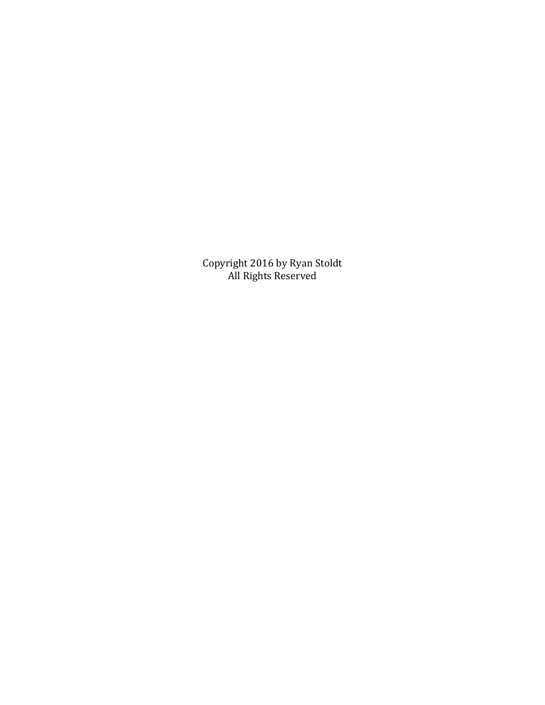Copyright 2016 by Ryan Stoldt All Rights Reserved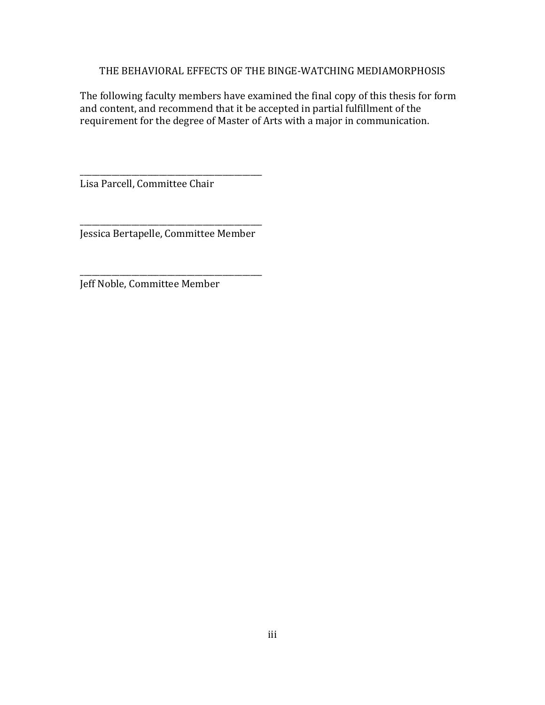# THE BEHAVIORAL EFFECTS OF THE BINGE-WATCHING MEDIAMORPHOSIS

The following faculty members have examined the final copy of this thesis for form and content, and recommend that it be accepted in partial fulfillment of the requirement for the degree of Master of Arts with a major in communication.

Lisa Parcell, Committee Chair

\_\_\_\_\_\_\_\_\_\_\_\_\_\_\_\_\_\_\_\_\_\_\_\_\_\_\_\_\_\_\_\_\_\_\_\_\_\_\_\_\_\_\_\_\_\_ Jessica Bertapelle, Committee Member

\_\_\_\_\_\_\_\_\_\_\_\_\_\_\_\_\_\_\_\_\_\_\_\_\_\_\_\_\_\_\_\_\_\_\_\_\_\_\_\_\_\_\_\_\_\_

\_\_\_\_\_\_\_\_\_\_\_\_\_\_\_\_\_\_\_\_\_\_\_\_\_\_\_\_\_\_\_\_\_\_\_\_\_\_\_\_\_\_\_\_\_\_

Jeff Noble, Committee Member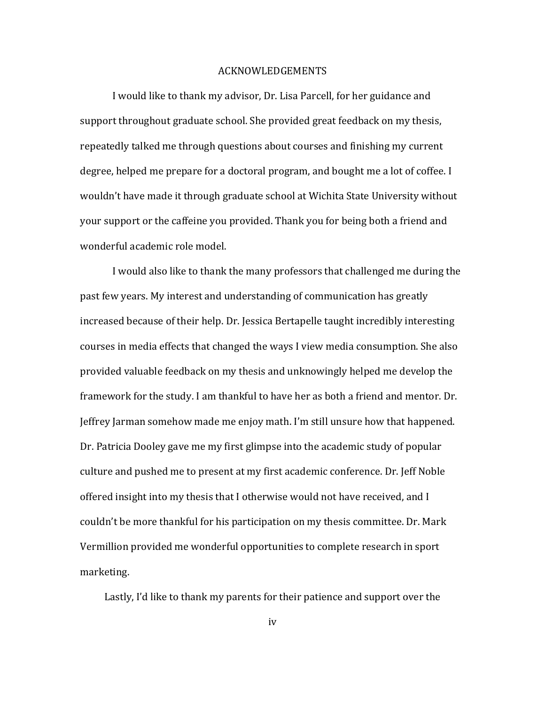#### ACKNOWLEDGEMENTS

I would like to thank my advisor, Dr. Lisa Parcell, for her guidance and support throughout graduate school. She provided great feedback on my thesis, repeatedly talked me through questions about courses and finishing my current degree, helped me prepare for a doctoral program, and bought me a lot of coffee. I wouldn't have made it through graduate school at Wichita State University without your support or the caffeine you provided. Thank you for being both a friend and wonderful academic role model.

I would also like to thank the many professors that challenged me during the past few years. My interest and understanding of communication has greatly increased because of their help. Dr. Jessica Bertapelle taught incredibly interesting courses in media effects that changed the ways I view media consumption. She also provided valuable feedback on my thesis and unknowingly helped me develop the framework for the study. I am thankful to have her as both a friend and mentor. Dr. Jeffrey Jarman somehow made me enjoy math. I'm still unsure how that happened. Dr. Patricia Dooley gave me my first glimpse into the academic study of popular culture and pushed me to present at my first academic conference. Dr. Jeff Noble offered insight into my thesis that I otherwise would not have received, and I couldn't be more thankful for his participation on my thesis committee. Dr. Mark Vermillion provided me wonderful opportunities to complete research in sport marketing. 

Lastly, I'd like to thank my parents for their patience and support over the

iv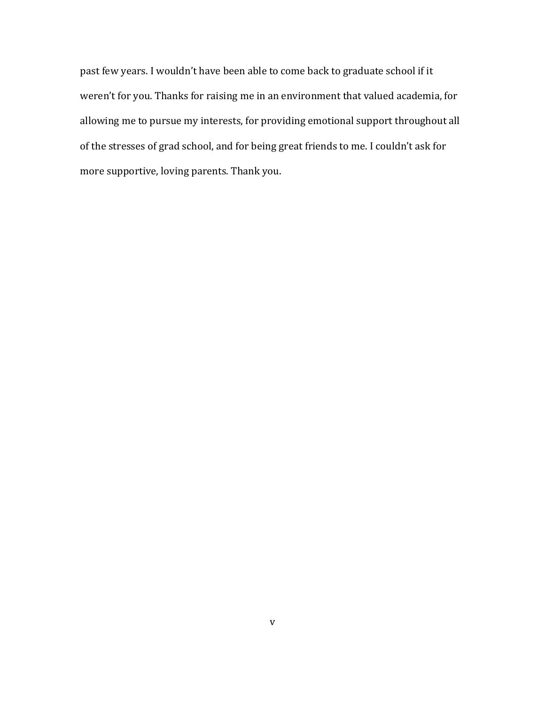past few years. I wouldn't have been able to come back to graduate school if it weren't for you. Thanks for raising me in an environment that valued academia, for allowing me to pursue my interests, for providing emotional support throughout all of the stresses of grad school, and for being great friends to me. I couldn't ask for more supportive, loving parents. Thank you.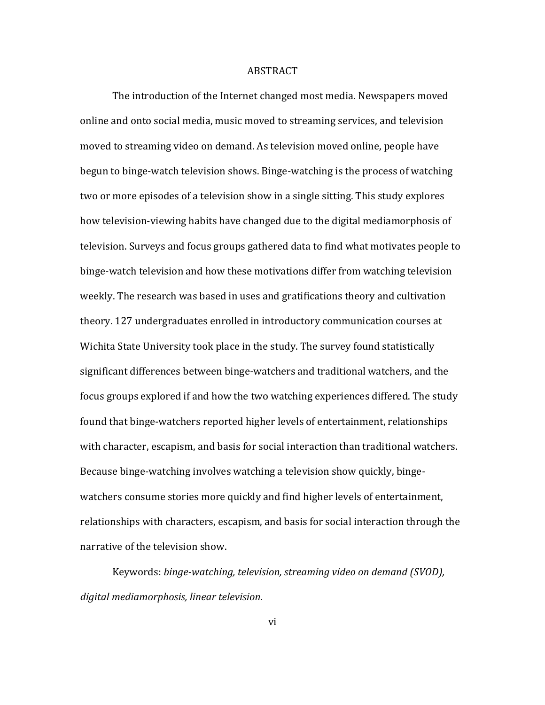#### ABSTRACT

The introduction of the Internet changed most media. Newspapers moved online and onto social media, music moved to streaming services, and television moved to streaming video on demand. As television moved online, people have begun to binge-watch television shows. Binge-watching is the process of watching two or more episodes of a television show in a single sitting. This study explores how television-viewing habits have changed due to the digital mediamorphosis of television. Surveys and focus groups gathered data to find what motivates people to binge-watch television and how these motivations differ from watching television weekly. The research was based in uses and gratifications theory and cultivation theory. 127 undergraduates enrolled in introductory communication courses at Wichita State University took place in the study. The survey found statistically significant differences between binge-watchers and traditional watchers, and the focus groups explored if and how the two watching experiences differed. The study found that binge-watchers reported higher levels of entertainment, relationships with character, escapism, and basis for social interaction than traditional watchers. Because binge-watching involves watching a television show quickly, bingewatchers consume stories more quickly and find higher levels of entertainment, relationships with characters, escapism, and basis for social interaction through the narrative of the television show.

Keywords: binge-watching, television, streaming video on demand (SVOD), *digital mediamorphosis, linear television*.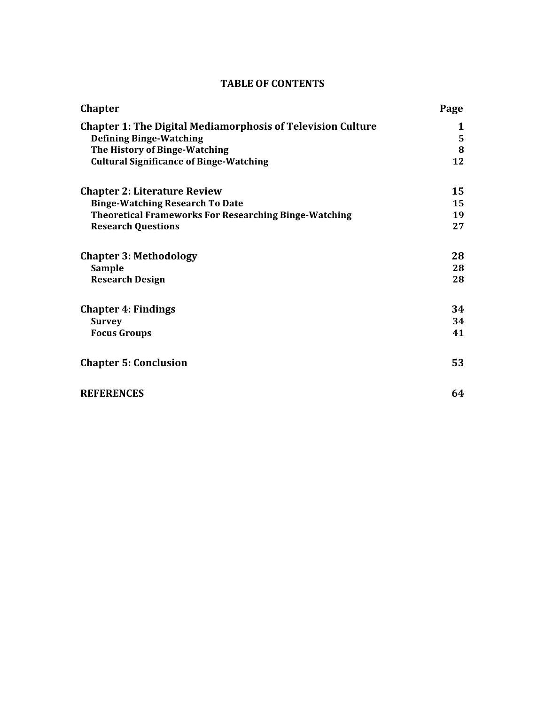# **TABLE OF CONTENTS**

| <b>Chapter</b>                                                     | Page |
|--------------------------------------------------------------------|------|
| <b>Chapter 1: The Digital Mediamorphosis of Television Culture</b> | 1    |
| <b>Defining Binge-Watching</b>                                     | 5    |
| The History of Binge-Watching                                      | 8    |
| <b>Cultural Significance of Binge-Watching</b>                     | 12   |
| <b>Chapter 2: Literature Review</b>                                | 15   |
| <b>Binge-Watching Research To Date</b>                             | 15   |
| <b>Theoretical Frameworks For Researching Binge-Watching</b>       | 19   |
| <b>Research Questions</b>                                          | 27   |
| <b>Chapter 3: Methodology</b>                                      | 28   |
| Sample                                                             | 28   |
| <b>Research Design</b>                                             | 28   |
| <b>Chapter 4: Findings</b>                                         | 34   |
| <b>Survey</b>                                                      | 34   |
| <b>Focus Groups</b>                                                | 41   |
| <b>Chapter 5: Conclusion</b>                                       | 53   |
| <b>REFERENCES</b>                                                  | 64   |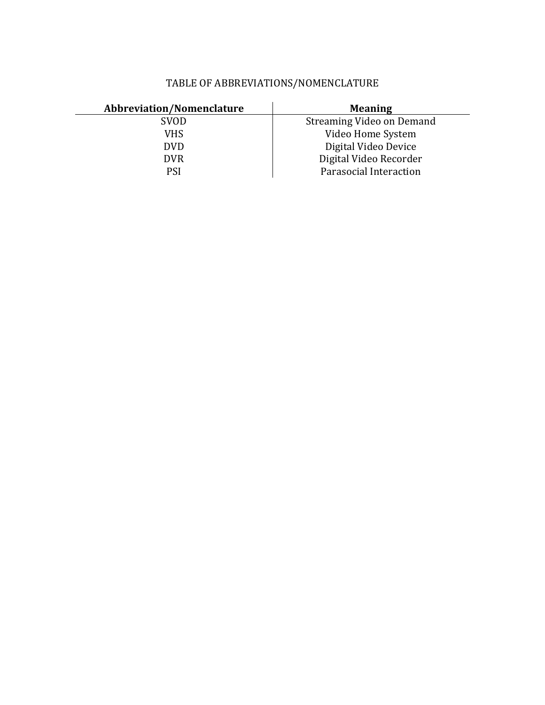| <b>Abbreviation/Nomenclature</b> | <b>Meaning</b>            |
|----------------------------------|---------------------------|
| <b>SVOD</b>                      | Streaming Video on Demand |
| VHS                              | Video Home System         |
| <b>DVD</b>                       | Digital Video Device      |
| <b>DVR</b>                       | Digital Video Recorder    |
| <b>PSI</b>                       | Parasocial Interaction    |

# TABLE OF ABBREVIATIONS/NOMENCLATURE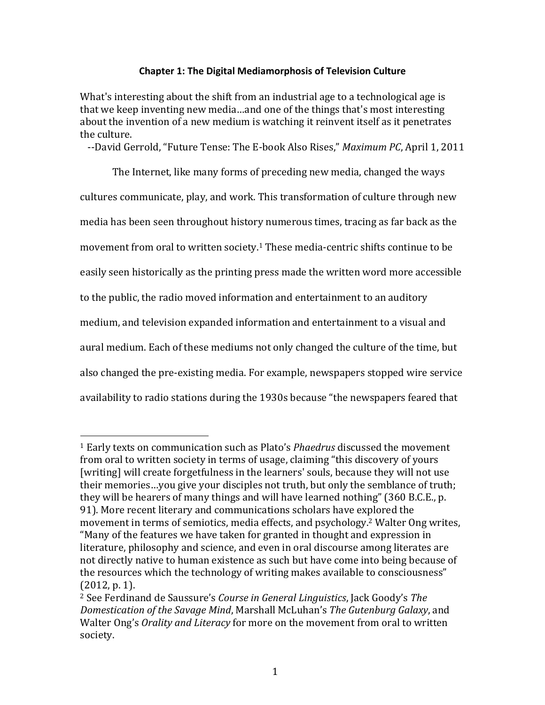# **Chapter 1: The Digital Mediamorphosis of Television Culture**

What's interesting about the shift from an industrial age to a technological age is that we keep inventing new media…and one of the things that's most interesting about the invention of a new medium is watching it reinvent itself as it penetrates the culture.

--David Gerrold, "Future Tense: The E-book Also Rises," Maximum PC, April 1, 2011

The Internet, like many forms of preceding new media, changed the ways cultures communicate, play, and work. This transformation of culture through new media has been seen throughout history numerous times, tracing as far back as the movement from oral to written society.<sup>1</sup> These media-centric shifts continue to be easily seen historically as the printing press made the written word more accessible to the public, the radio moved information and entertainment to an auditory medium, and television expanded information and entertainment to a visual and aural medium. Each of these mediums not only changed the culture of the time, but also changed the pre-existing media. For example, newspapers stopped wire service availability to radio stations during the 1930s because "the newspapers feared that

<sup>&</sup>lt;sup>1</sup> Early texts on communication such as Plato's *Phaedrus* discussed the movement from oral to written society in terms of usage, claiming "this discovery of yours [writing] will create forgetfulness in the learners' souls, because they will not use their memories...you give your disciples not truth, but only the semblance of truth; they will be hearers of many things and will have learned nothing" (360 B.C.E., p. 91). More recent literary and communications scholars have explored the movement in terms of semiotics, media effects, and psychology.<sup>2</sup> Walter Ong writes, "Many of the features we have taken for granted in thought and expression in literature, philosophy and science, and even in oral discourse among literates are not directly native to human existence as such but have come into being because of the resources which the technology of writing makes available to consciousness"  $(2012, p. 1)$ .

<sup>&</sup>lt;sup>2</sup> See Ferdinand de Saussure's *Course in General Linguistics*, Jack Goody's *The Domestication of the Savage Mind*, Marshall McLuhan's *The Gutenburg Galaxy*, and Walter Ong's *Orality and Literacy* for more on the movement from oral to written society.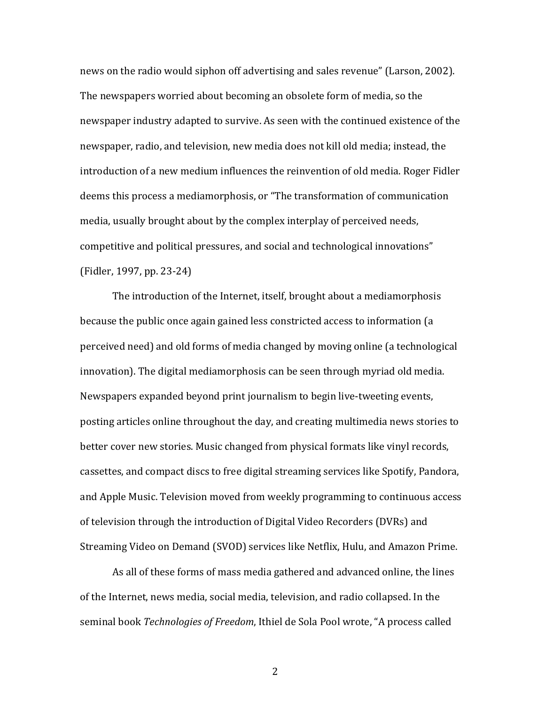news on the radio would siphon off advertising and sales revenue" (Larson, 2002). The newspapers worried about becoming an obsolete form of media, so the newspaper industry adapted to survive. As seen with the continued existence of the newspaper, radio, and television, new media does not kill old media; instead, the introduction of a new medium influences the reinvention of old media. Roger Fidler deems this process a mediamorphosis, or "The transformation of communication media, usually brought about by the complex interplay of perceived needs, competitive and political pressures, and social and technological innovations" (Fidler, 1997, pp. 23-24)

The introduction of the Internet, itself, brought about a mediamorphosis because the public once again gained less constricted access to information (a perceived need) and old forms of media changed by moving online (a technological innovation). The digital mediamorphosis can be seen through myriad old media. Newspapers expanded beyond print journalism to begin live-tweeting events, posting articles online throughout the day, and creating multimedia news stories to better cover new stories. Music changed from physical formats like vinyl records, cassettes, and compact discs to free digital streaming services like Spotify, Pandora, and Apple Music. Television moved from weekly programming to continuous access of television through the introduction of Digital Video Recorders (DVRs) and Streaming Video on Demand (SVOD) services like Netflix, Hulu, and Amazon Prime.

As all of these forms of mass media gathered and advanced online, the lines of the Internet, news media, social media, television, and radio collapsed. In the seminal book *Technologies of Freedom*, Ithiel de Sola Pool wrote, "A process called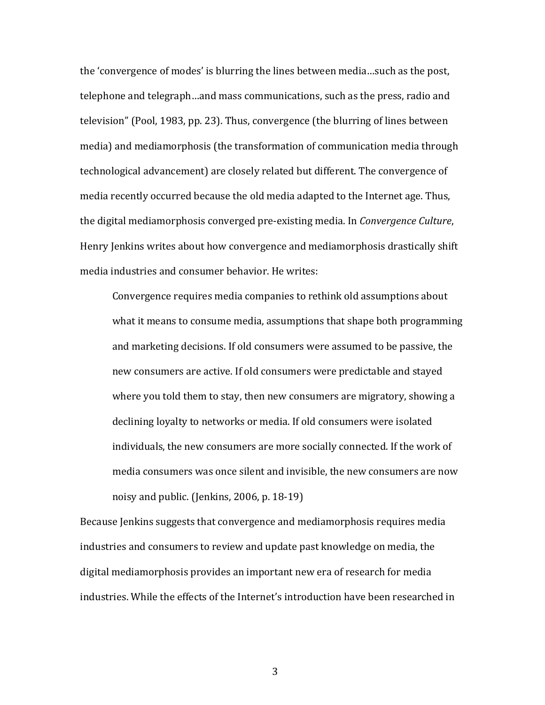the 'convergence of modes' is blurring the lines between media...such as the post, telephone and telegraph...and mass communications, such as the press, radio and television" (Pool, 1983, pp. 23). Thus, convergence (the blurring of lines between media) and mediamorphosis (the transformation of communication media through technological advancement) are closely related but different. The convergence of media recently occurred because the old media adapted to the Internet age. Thus, the digital mediamorphosis converged pre-existing media. In *Convergence Culture*, Henry Jenkins writes about how convergence and mediamorphosis drastically shift media industries and consumer behavior. He writes:

Convergence requires media companies to rethink old assumptions about what it means to consume media, assumptions that shape both programming and marketing decisions. If old consumers were assumed to be passive, the new consumers are active. If old consumers were predictable and stayed where you told them to stay, then new consumers are migratory, showing a declining loyalty to networks or media. If old consumers were isolated individuals, the new consumers are more socially connected. If the work of media consumers was once silent and invisible, the new consumers are now noisy and public. (Jenkins, 2006, p.  $18-19$ )

Because Jenkins suggests that convergence and mediamorphosis requires media industries and consumers to review and update past knowledge on media, the digital mediamorphosis provides an important new era of research for media industries. While the effects of the Internet's introduction have been researched in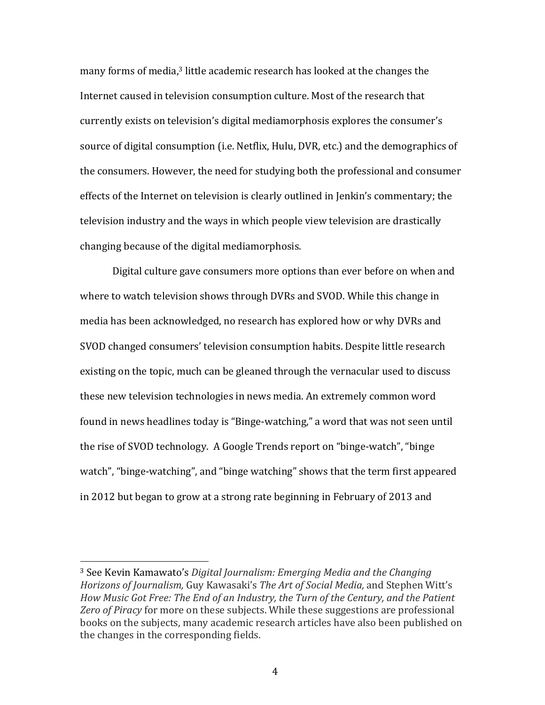many forms of media,<sup>3</sup> little academic research has looked at the changes the Internet caused in television consumption culture. Most of the research that currently exists on television's digital mediamorphosis explores the consumer's source of digital consumption (i.e. Netflix, Hulu, DVR, etc.) and the demographics of the consumers. However, the need for studying both the professional and consumer effects of the Internet on television is clearly outlined in Jenkin's commentary; the television industry and the ways in which people view television are drastically changing because of the digital mediamorphosis.

Digital culture gave consumers more options than ever before on when and where to watch television shows through DVRs and SVOD. While this change in media has been acknowledged, no research has explored how or why DVRs and SVOD changed consumers' television consumption habits. Despite little research existing on the topic, much can be gleaned through the vernacular used to discuss these new television technologies in news media. An extremely common word found in news headlines today is "Binge-watching," a word that was not seen until the rise of SVOD technology. A Google Trends report on "binge-watch", "binge watch", "binge-watching", and "binge watching" shows that the term first appeared in 2012 but began to grow at a strong rate beginning in February of 2013 and

<sup>&</sup>lt;sup>3</sup> See Kevin Kamawato's Digital Journalism: Emerging Media and the Changing *Horizons of Journalism, Guy Kawasaki's The Art of Social Media, and Stephen Witt's* How Music Got Free: The End of an Industry, the Turn of the Century, and the Patient Zero of Piracy for more on these subjects. While these suggestions are professional books on the subjects, many academic research articles have also been published on the changes in the corresponding fields.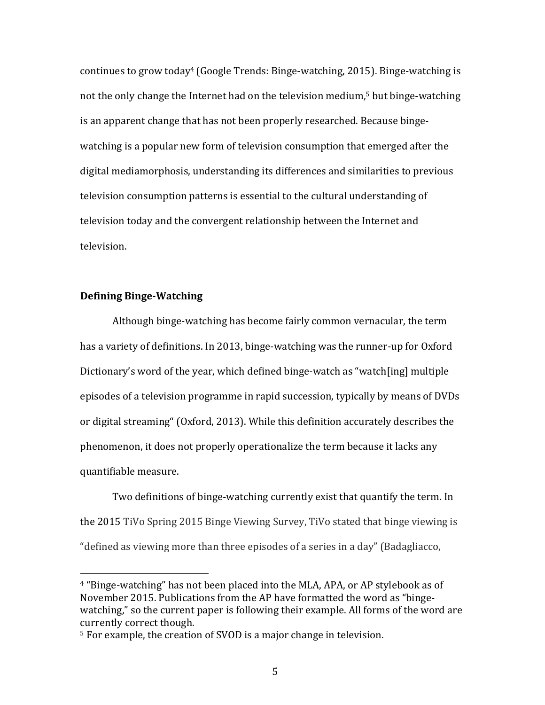continues to grow today<sup>4</sup> (Google Trends: Binge-watching, 2015). Binge-watching is not the only change the Internet had on the television medium,<sup>5</sup> but binge-watching is an apparent change that has not been properly researched. Because bingewatching is a popular new form of television consumption that emerged after the digital mediamorphosis, understanding its differences and similarities to previous television consumption patterns is essential to the cultural understanding of television today and the convergent relationship between the Internet and television. 

## **Defining Binge-Watching**

 

Although binge-watching has become fairly common vernacular, the term has a variety of definitions. In 2013, binge-watching was the runner-up for Oxford Dictionary's word of the year, which defined binge-watch as "watch[ing] multiple episodes of a television programme in rapid succession, typically by means of DVDs or digital streaming" (Oxford, 2013). While this definition accurately describes the phenomenon, it does not properly operationalize the term because it lacks any quantifiable measure.

Two definitions of binge-watching currently exist that quantify the term. In the 2015 TiVo Spring 2015 Binge Viewing Survey, TiVo stated that binge viewing is "defined as viewing more than three episodes of a series in a day" (Badagliacco,

<sup>&</sup>lt;sup>4</sup> "Binge-watching" has not been placed into the MLA, APA, or AP stylebook as of November 2015. Publications from the AP have formatted the word as "bingewatching," so the current paper is following their example. All forms of the word are currently correct though.

 $5$  For example, the creation of SVOD is a major change in television.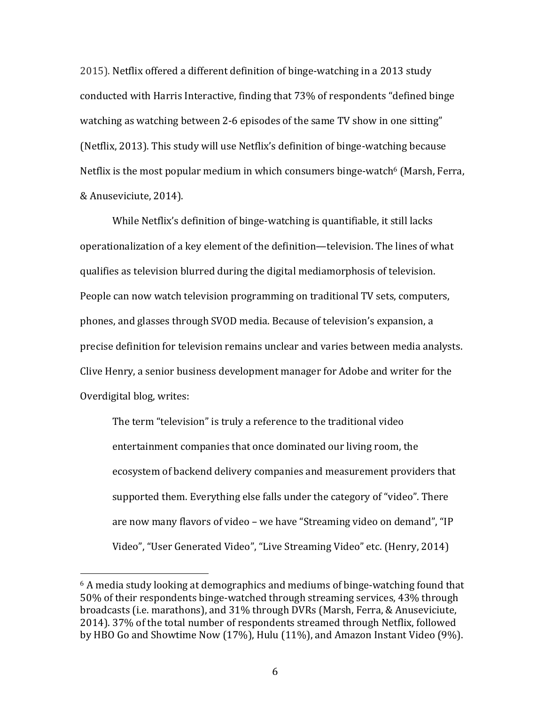2015). Netflix offered a different definition of binge-watching in a 2013 study conducted with Harris Interactive, finding that  $73\%$  of respondents "defined binge watching as watching between 2-6 episodes of the same TV show in one sitting" (Netflix, 2013). This study will use Netflix's definition of binge-watching because Netflix is the most popular medium in which consumers binge-watch<sup>6</sup> (Marsh, Ferra, & Anuseviciute, 2014).

While Netflix's definition of binge-watching is quantifiable, it still lacks operationalization of a key element of the definition—television. The lines of what qualifies as television blurred during the digital mediamorphosis of television. People can now watch television programming on traditional TV sets, computers, phones, and glasses through SVOD media. Because of television's expansion, a precise definition for television remains unclear and varies between media analysts. Clive Henry, a senior business development manager for Adobe and writer for the Overdigital blog, writes:

The term "television" is truly a reference to the traditional video entertainment companies that once dominated our living room, the ecosystem of backend delivery companies and measurement providers that supported them. Everything else falls under the category of "video". There are now many flavors of video – we have "Streaming video on demand", "IP Video", "User Generated Video", "Live Streaming Video" etc. (Henry, 2014)

<sup>&</sup>lt;sup>6</sup> A media study looking at demographics and mediums of binge-watching found that 50% of their respondents binge-watched through streaming services, 43% through broadcasts (i.e. marathons), and 31% through DVRs (Marsh, Ferra, & Anuseviciute, 2014). 37% of the total number of respondents streamed through Netflix, followed by HBO Go and Showtime Now  $(17%)$ , Hulu  $(11%)$ , and Amazon Instant Video  $(9%)$ .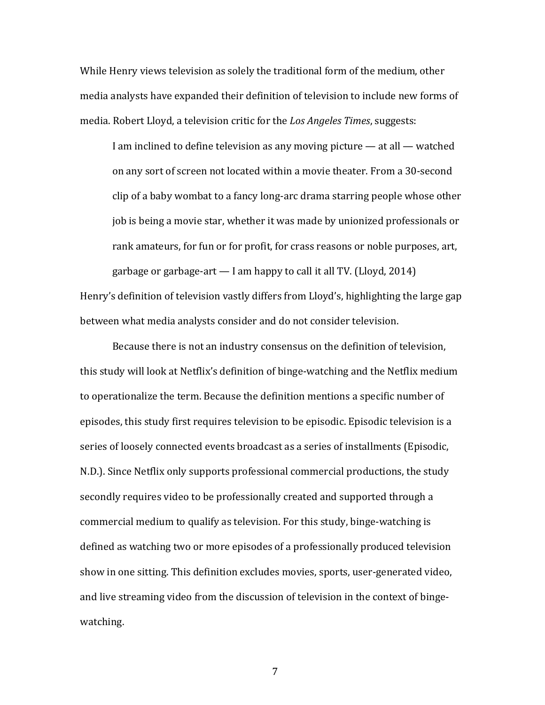While Henry views television as solely the traditional form of the medium, other media analysts have expanded their definition of television to include new forms of media. Robert Lloyd, a television critic for the *Los Angeles Times*, suggests:

I am inclined to define television as any moving picture  $-$  at all  $-$  watched on any sort of screen not located within a movie theater. From a 30-second clip of a baby wombat to a fancy long-arc drama starring people whose other job is being a movie star, whether it was made by unionized professionals or rank amateurs, for fun or for profit, for crass reasons or noble purposes, art, garbage or garbage-art  $-$  I am happy to call it all TV. (Lloyd, 2014) Henry's definition of television vastly differs from Lloyd's, highlighting the large gap

between what media analysts consider and do not consider television.

Because there is not an industry consensus on the definition of television, this study will look at Netflix's definition of binge-watching and the Netflix medium to operationalize the term. Because the definition mentions a specific number of episodes, this study first requires television to be episodic. Episodic television is a series of loosely connected events broadcast as a series of installments (Episodic, N.D.). Since Netflix only supports professional commercial productions, the study secondly requires video to be professionally created and supported through a commercial medium to qualify as television. For this study, binge-watching is defined as watching two or more episodes of a professionally produced television show in one sitting. This definition excludes movies, sports, user-generated video, and live streaming video from the discussion of television in the context of bingewatching.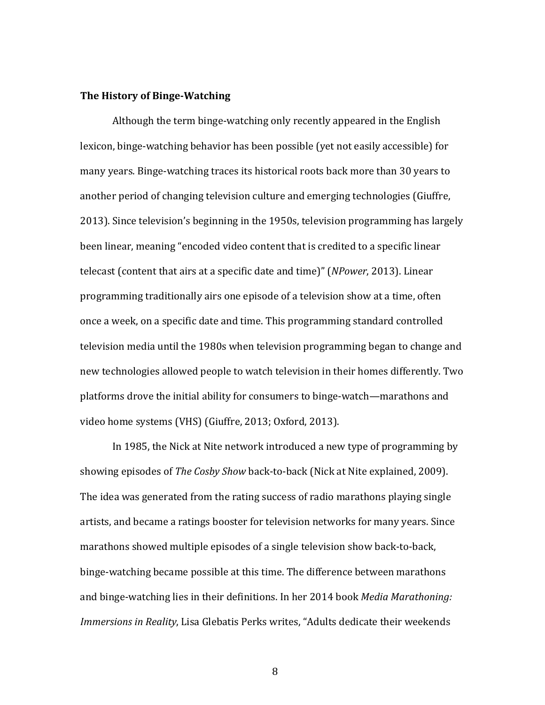### **The History of Binge-Watching**

Although the term binge-watching only recently appeared in the English lexicon, binge-watching behavior has been possible (yet not easily accessible) for many years. Binge-watching traces its historical roots back more than 30 years to another period of changing television culture and emerging technologies (Giuffre, 2013). Since television's beginning in the 1950s, television programming has largely been linear, meaning "encoded video content that is credited to a specific linear telecast (content that airs at a specific date and time)" (*NPower*, 2013). Linear programming traditionally airs one episode of a television show at a time, often once a week, on a specific date and time. This programming standard controlled television media until the 1980s when television programming began to change and new technologies allowed people to watch television in their homes differently. Two platforms drove the initial ability for consumers to binge-watch—marathons and video home systems (VHS) (Giuffre, 2013; Oxford, 2013).

In 1985, the Nick at Nite network introduced a new type of programming by showing episodes of *The Cosby Show* back-to-back (Nick at Nite explained, 2009). The idea was generated from the rating success of radio marathons playing single artists, and became a ratings booster for television networks for many years. Since marathons showed multiple episodes of a single television show back-to-back, binge-watching became possible at this time. The difference between marathons and binge-watching lies in their definitions. In her 2014 book *Media Marathoning: Immersions in Reality*, Lisa Glebatis Perks writes, "Adults dedicate their weekends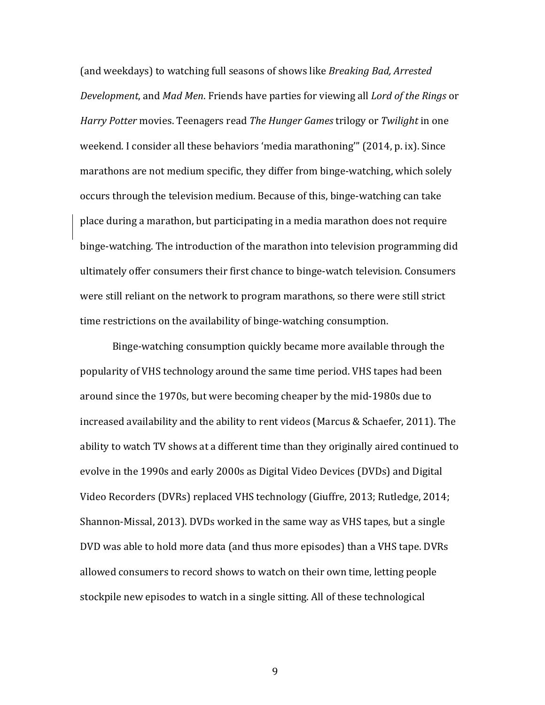(and weekdays) to watching full seasons of shows like *Breaking Bad, Arrested Development*, and *Mad Men*. Friends have parties for viewing all *Lord of the Rings* or *Harry Potter* movies. Teenagers read *The Hunger Games* trilogy or *Twilight* in one weekend. I consider all these behaviors 'media marathoning'" (2014, p. ix). Since marathons are not medium specific, they differ from binge-watching, which solely occurs through the television medium. Because of this, binge-watching can take place during a marathon, but participating in a media marathon does not require binge-watching. The introduction of the marathon into television programming did ultimately offer consumers their first chance to binge-watch television. Consumers were still reliant on the network to program marathons, so there were still strict time restrictions on the availability of binge-watching consumption.

Binge-watching consumption quickly became more available through the popularity of VHS technology around the same time period. VHS tapes had been around since the 1970s, but were becoming cheaper by the mid-1980s due to increased availability and the ability to rent videos (Marcus & Schaefer, 2011). The ability to watch TV shows at a different time than they originally aired continued to evolve in the 1990s and early 2000s as Digital Video Devices (DVDs) and Digital Video Recorders (DVRs) replaced VHS technology (Giuffre, 2013; Rutledge, 2014; Shannon-Missal, 2013). DVDs worked in the same way as VHS tapes, but a single DVD was able to hold more data (and thus more episodes) than a VHS tape. DVRs allowed consumers to record shows to watch on their own time, letting people stockpile new episodes to watch in a single sitting. All of these technological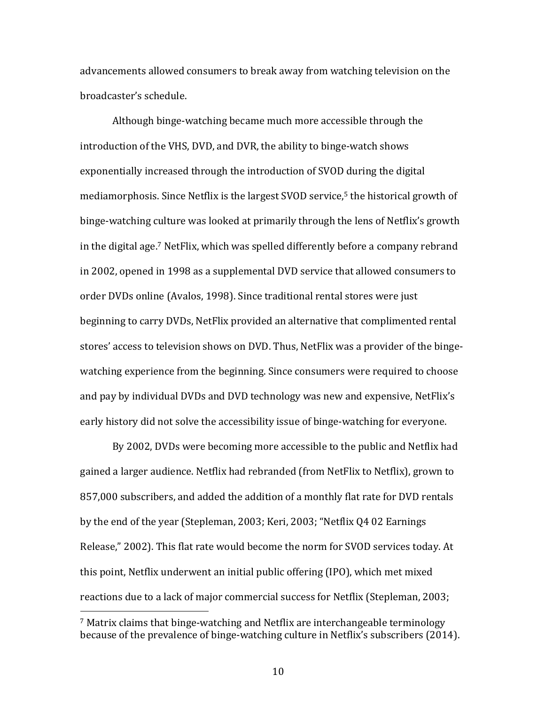advancements allowed consumers to break away from watching television on the broadcaster's schedule.

Although binge-watching became much more accessible through the introduction of the VHS, DVD, and DVR, the ability to binge-watch shows exponentially increased through the introduction of SVOD during the digital mediamorphosis. Since Netflix is the largest SVOD service,<sup>5</sup> the historical growth of binge-watching culture was looked at primarily through the lens of Netflix's growth in the digital age.<sup>7</sup> NetFlix, which was spelled differently before a company rebrand in 2002, opened in 1998 as a supplemental DVD service that allowed consumers to order DVDs online (Avalos, 1998). Since traditional rental stores were just beginning to carry DVDs, NetFlix provided an alternative that complimented rental stores' access to television shows on DVD. Thus, NetFlix was a provider of the bingewatching experience from the beginning. Since consumers were required to choose and pay by individual DVDs and DVD technology was new and expensive, NetFlix's early history did not solve the accessibility issue of binge-watching for everyone.

By 2002, DVDs were becoming more accessible to the public and Netflix had gained a larger audience. Netflix had rebranded (from NetFlix to Netflix), grown to 857,000 subscribers, and added the addition of a monthly flat rate for DVD rentals by the end of the year (Stepleman, 2003; Keri, 2003; "Netflix Q4 02 Earnings Release," 2002). This flat rate would become the norm for SVOD services today. At this point, Netflix underwent an initial public offering (IPO), which met mixed reactions due to a lack of major commercial success for Netflix (Stepleman, 2003;

<sup>&</sup>lt;sup>7</sup> Matrix claims that binge-watching and Netflix are interchangeable terminology because of the prevalence of binge-watching culture in Netflix's subscribers (2014).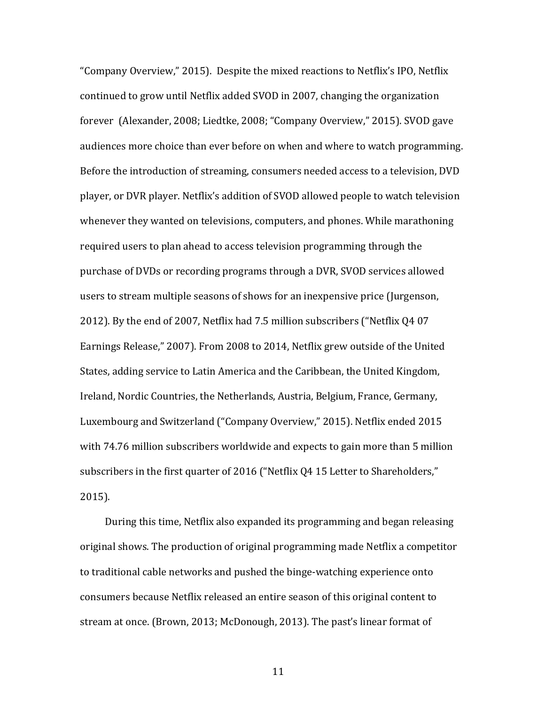"Company Overview," 2015). Despite the mixed reactions to Netflix's IPO, Netflix continued to grow until Netflix added SVOD in 2007, changing the organization forever (Alexander, 2008; Liedtke, 2008; "Company Overview," 2015). SVOD gave audiences more choice than ever before on when and where to watch programming. Before the introduction of streaming, consumers needed access to a television, DVD player, or DVR player. Netflix's addition of SVOD allowed people to watch television whenever they wanted on televisions, computers, and phones. While marathoning required users to plan ahead to access television programming through the purchase of DVDs or recording programs through a DVR, SVOD services allowed users to stream multiple seasons of shows for an inexpensive price (Jurgenson, 2012). By the end of 2007, Netflix had 7.5 million subscribers ("Netflix Q4 07 Earnings Release," 2007). From 2008 to 2014, Netflix grew outside of the United States, adding service to Latin America and the Caribbean, the United Kingdom, Ireland, Nordic Countries, the Netherlands, Austria, Belgium, France, Germany, Luxembourg and Switzerland ("Company Overview," 2015). Netflix ended 2015 with 74.76 million subscribers worldwide and expects to gain more than 5 million subscribers in the first quarter of 2016 ("Netflix Q4 15 Letter to Shareholders," 2015).

During this time, Netflix also expanded its programming and began releasing original shows. The production of original programming made Netflix a competitor to traditional cable networks and pushed the binge-watching experience onto consumers because Netflix released an entire season of this original content to stream at once. (Brown, 2013; McDonough, 2013). The past's linear format of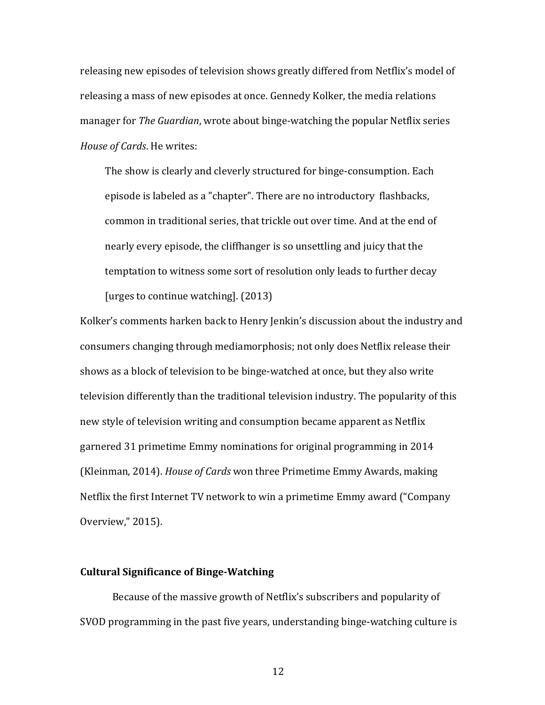releasing new episodes of television shows greatly differed from Netflix's model of releasing a mass of new episodes at once. Gennedy Kolker, the media relations manager for *The Guardian*, wrote about binge-watching the popular Netflix series *House of Cards*. He writes:

The show is clearly and cleverly structured for binge-consumption. Each episode is labeled as a "chapter". There are no introductory flashbacks, common in traditional series, that trickle out over time. And at the end of nearly every episode, the cliffhanger is so unsettling and juicy that the temptation to witness some sort of resolution only leads to further decay [urges to continue watching].  $(2013)$ 

Kolker's comments harken back to Henry Jenkin's discussion about the industry and consumers changing through mediamorphosis; not only does Netflix release their shows as a block of television to be binge-watched at once, but they also write television differently than the traditional television industry. The popularity of this new style of television writing and consumption became apparent as Netflix garnered 31 primetime Emmy nominations for original programming in 2014 (Kleinman, 2014). *House of Cards* won three Primetime Emmy Awards, making Netflix the first Internet TV network to win a primetime Emmy award ("Company Overview," 2015).

# **Cultural Significance of Binge-Watching**

Because of the massive growth of Netflix's subscribers and popularity of SVOD programming in the past five years, understanding binge-watching culture is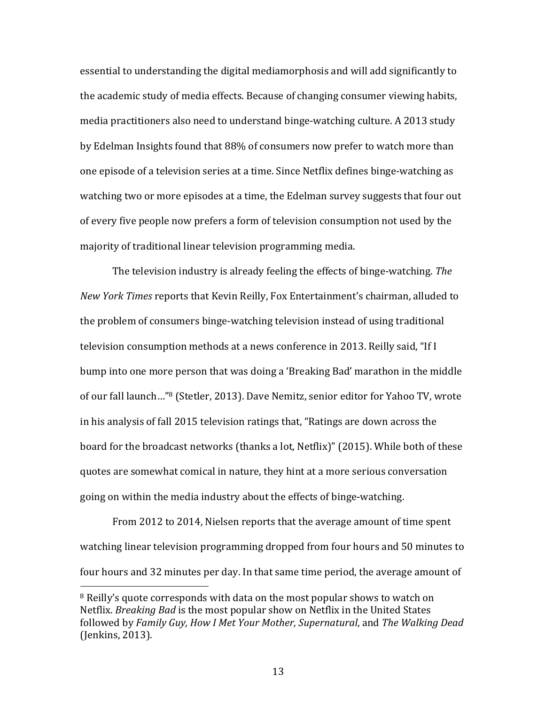essential to understanding the digital mediamorphosis and will add significantly to the academic study of media effects. Because of changing consumer viewing habits, media practitioners also need to understand binge-watching culture. A 2013 study by Edelman Insights found that 88% of consumers now prefer to watch more than one episode of a television series at a time. Since Netflix defines binge-watching as watching two or more episodes at a time, the Edelman survey suggests that four out of every five people now prefers a form of television consumption not used by the majority of traditional linear television programming media.

The television industry is already feeling the effects of binge-watching. *The New York Times* reports that Kevin Reilly, Fox Entertainment's chairman, alluded to the problem of consumers binge-watching television instead of using traditional television consumption methods at a news conference in 2013. Reilly said, "If I bump into one more person that was doing a 'Breaking Bad' marathon in the middle of our fall launch..."<sup>8</sup> (Stetler, 2013). Dave Nemitz, senior editor for Yahoo TV, wrote in his analysis of fall 2015 television ratings that, "Ratings are down across the board for the broadcast networks (thanks a lot, Netflix)" (2015). While both of these quotes are somewhat comical in nature, they hint at a more serious conversation going on within the media industry about the effects of binge-watching.

From 2012 to 2014, Nielsen reports that the average amount of time spent watching linear television programming dropped from four hours and 50 minutes to four hours and 32 minutes per day. In that same time period, the average amount of

<sup>&</sup>lt;sup>8</sup> Reilly's quote corresponds with data on the most popular shows to watch on Netflix. *Breaking Bad* is the most popular show on Netflix in the United States followed by *Family Guy, How I Met Your Mother, Supernatural*, and *The Walking Dead* (Jenkins, 2013).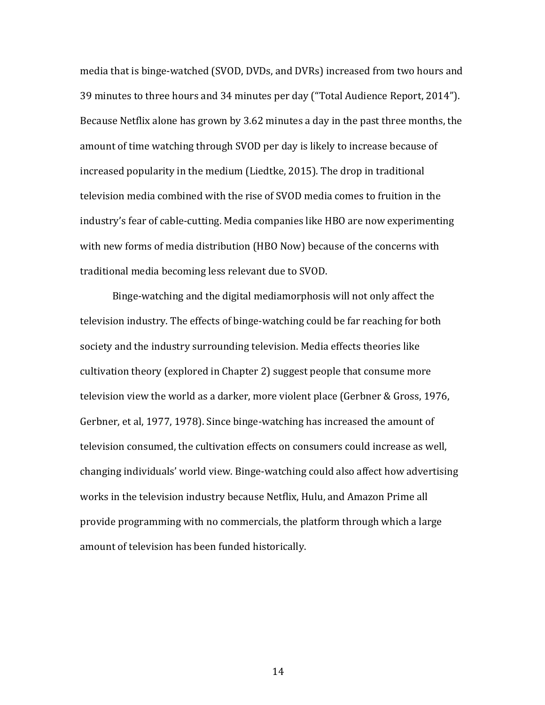media that is binge-watched (SVOD, DVDs, and DVRs) increased from two hours and 39 minutes to three hours and 34 minutes per day ("Total Audience Report, 2014"). Because Netflix alone has grown by 3.62 minutes a day in the past three months, the amount of time watching through SVOD per day is likely to increase because of increased popularity in the medium (Liedtke, 2015). The drop in traditional television media combined with the rise of SVOD media comes to fruition in the industry's fear of cable-cutting. Media companies like HBO are now experimenting with new forms of media distribution (HBO Now) because of the concerns with traditional media becoming less relevant due to SVOD.

Binge-watching and the digital mediamorphosis will not only affect the television industry. The effects of binge-watching could be far reaching for both society and the industry surrounding television. Media effects theories like cultivation theory (explored in Chapter 2) suggest people that consume more television view the world as a darker, more violent place (Gerbner & Gross, 1976, Gerbner, et al, 1977, 1978). Since binge-watching has increased the amount of television consumed, the cultivation effects on consumers could increase as well, changing individuals' world view. Binge-watching could also affect how advertising works in the television industry because Netflix, Hulu, and Amazon Prime all provide programming with no commercials, the platform through which a large amount of television has been funded historically.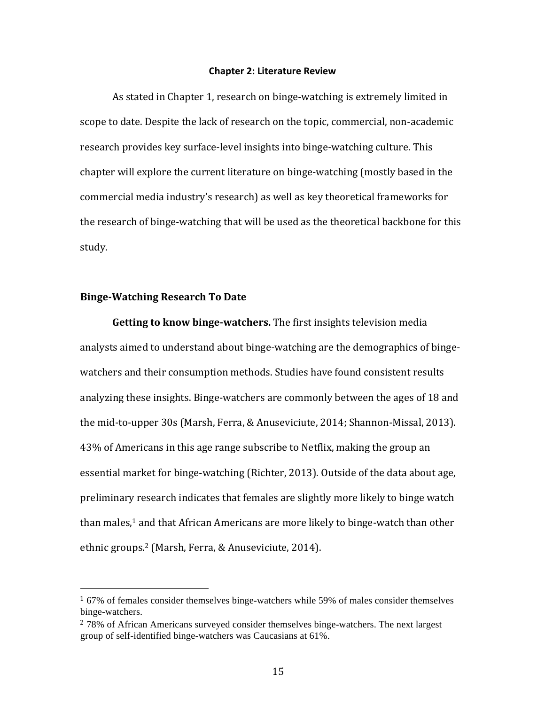#### **Chapter 2: Literature Review**

As stated in Chapter 1, research on binge-watching is extremely limited in scope to date. Despite the lack of research on the topic, commercial, non-academic research provides key surface-level insights into binge-watching culture. This chapter will explore the current literature on binge-watching (mostly based in the commercial media industry's research) as well as key theoretical frameworks for the research of binge-watching that will be used as the theoretical backbone for this study.

### **Binge-Watching Research To Date**

 

**Getting to know binge-watchers.** The first insights television media analysts aimed to understand about binge-watching are the demographics of bingewatchers and their consumption methods. Studies have found consistent results analyzing these insights. Binge-watchers are commonly between the ages of 18 and the mid-to-upper  $30s$  (Marsh, Ferra, & Anuseviciute, 2014; Shannon-Missal, 2013). 43% of Americans in this age range subscribe to Netflix, making the group an essential market for binge-watching (Richter, 2013). Outside of the data about age, preliminary research indicates that females are slightly more likely to binge watch than males,<sup>1</sup> and that African Americans are more likely to binge-watch than other ethnic groups.<sup>2</sup> (Marsh, Ferra, & Anuseviciute, 2014).

<sup>1</sup> 67% of females consider themselves binge-watchers while 59% of males consider themselves binge-watchers.

 $278\%$  of African Americans surveyed consider themselves binge-watchers. The next largest group of self-identified binge-watchers was Caucasians at 61%.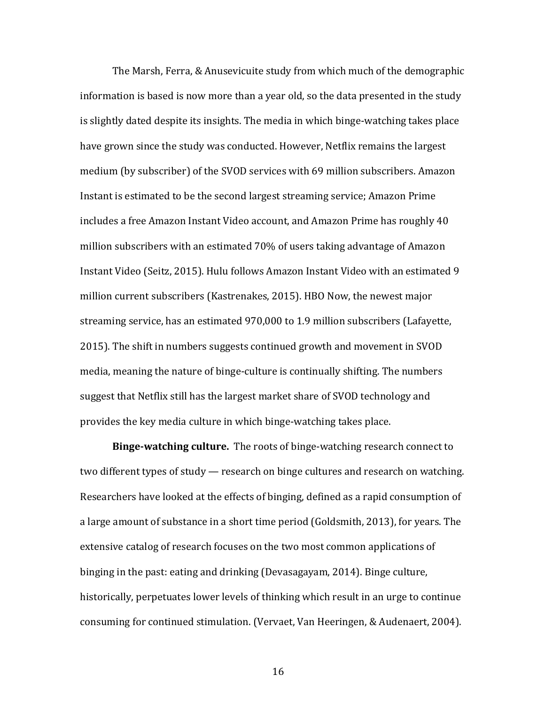The Marsh, Ferra, & Anusevicuite study from which much of the demographic information is based is now more than a year old, so the data presented in the study is slightly dated despite its insights. The media in which binge-watching takes place have grown since the study was conducted. However, Netflix remains the largest medium (by subscriber) of the SVOD services with 69 million subscribers. Amazon Instant is estimated to be the second largest streaming service; Amazon Prime includes a free Amazon Instant Video account, and Amazon Prime has roughly 40 million subscribers with an estimated 70% of users taking advantage of Amazon Instant Video (Seitz, 2015). Hulu follows Amazon Instant Video with an estimated 9 million current subscribers (Kastrenakes, 2015). HBO Now, the newest major streaming service, has an estimated 970,000 to 1.9 million subscribers (Lafayette, 2015). The shift in numbers suggests continued growth and movement in SVOD media, meaning the nature of binge-culture is continually shifting. The numbers suggest that Netflix still has the largest market share of SVOD technology and provides the key media culture in which binge-watching takes place.

**Binge-watching culture.** The roots of binge-watching research connect to two different types of study — research on binge cultures and research on watching. Researchers have looked at the effects of binging, defined as a rapid consumption of a large amount of substance in a short time period (Goldsmith, 2013), for years. The extensive catalog of research focuses on the two most common applications of binging in the past: eating and drinking (Devasagayam, 2014). Binge culture, historically, perpetuates lower levels of thinking which result in an urge to continue consuming for continued stimulation. (Vervaet, Van Heeringen, & Audenaert, 2004).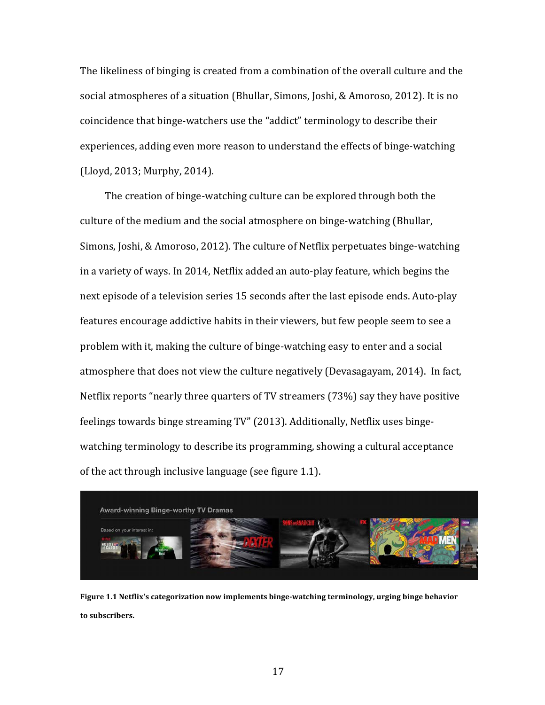The likeliness of binging is created from a combination of the overall culture and the social atmospheres of a situation (Bhullar, Simons, Joshi, & Amoroso, 2012). It is no coincidence that binge-watchers use the "addict" terminology to describe their experiences, adding even more reason to understand the effects of binge-watching (Lloyd, 2013; Murphy, 2014).

The creation of binge-watching culture can be explored through both the culture of the medium and the social atmosphere on binge-watching (Bhullar, Simons, Joshi, & Amoroso, 2012). The culture of Netflix perpetuates binge-watching in a variety of ways. In 2014, Netflix added an auto-play feature, which begins the next episode of a television series 15 seconds after the last episode ends. Auto-play features encourage addictive habits in their viewers, but few people seem to see a problem with it, making the culture of binge-watching easy to enter and a social atmosphere that does not view the culture negatively (Devasagayam, 2014). In fact, Netflix reports "nearly three quarters of TV streamers (73%) say they have positive feelings towards binge streaming TV" (2013). Additionally, Netflix uses bingewatching terminology to describe its programming, showing a cultural acceptance of the act through inclusive language (see figure 1.1).



**Figure 1.1 Netflix's categorization now implements binge-watching terminology, urging binge behavior to subscribers.**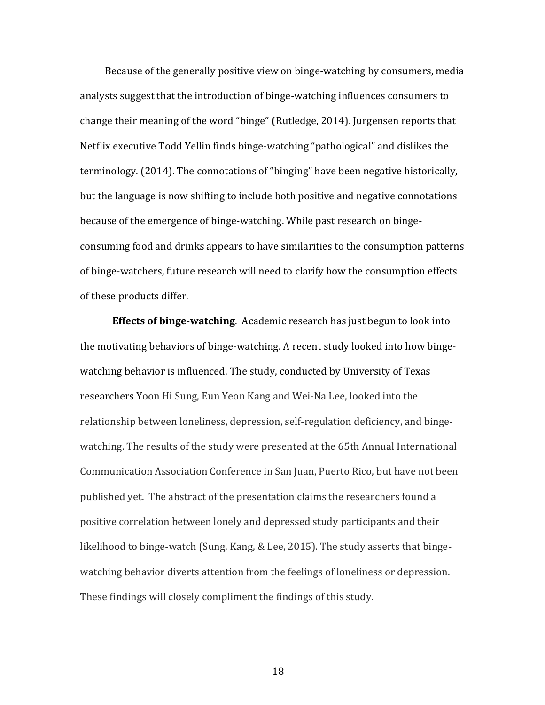Because of the generally positive view on binge-watching by consumers, media analysts suggest that the introduction of binge-watching influences consumers to change their meaning of the word "binge" (Rutledge, 2014). Jurgensen reports that Netflix executive Todd Yellin finds binge-watching "pathological" and dislikes the terminology. (2014). The connotations of "binging" have been negative historically, but the language is now shifting to include both positive and negative connotations because of the emergence of binge-watching. While past research on bingeconsuming food and drinks appears to have similarities to the consumption patterns of binge-watchers, future research will need to clarify how the consumption effects of these products differ.

**Effects of binge-watching**. Academic research has just begun to look into the motivating behaviors of binge-watching. A recent study looked into how bingewatching behavior is influenced. The study, conducted by University of Texas researchers Yoon Hi Sung, Eun Yeon Kang and Wei-Na Lee, looked into the relationship between loneliness, depression, self-regulation deficiency, and bingewatching. The results of the study were presented at the 65th Annual International Communication Association Conference in San Juan, Puerto Rico, but have not been published yet. The abstract of the presentation claims the researchers found a positive correlation between lonely and depressed study participants and their likelihood to binge-watch (Sung, Kang, & Lee, 2015). The study asserts that bingewatching behavior diverts attention from the feelings of loneliness or depression. These findings will closely compliment the findings of this study.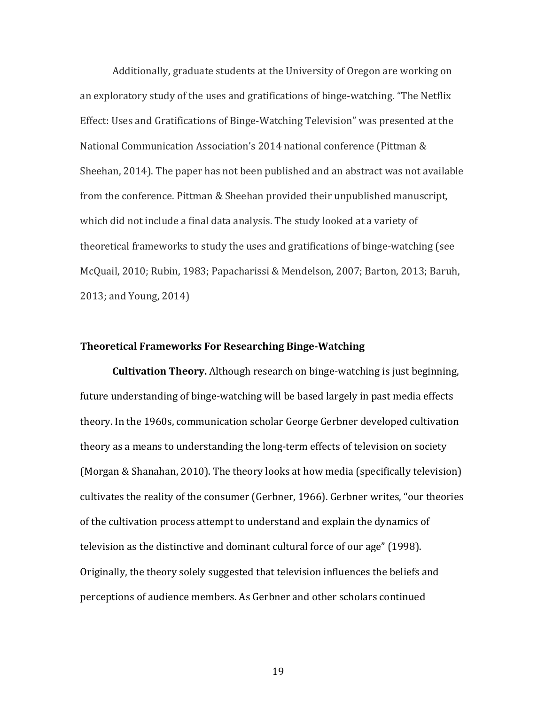Additionally, graduate students at the University of Oregon are working on an exploratory study of the uses and gratifications of binge-watching. "The Netflix Effect: Uses and Gratifications of Binge-Watching Television" was presented at the National Communication Association's 2014 national conference (Pittman & Sheehan, 2014). The paper has not been published and an abstract was not available from the conference. Pittman & Sheehan provided their unpublished manuscript, which did not include a final data analysis. The study looked at a variety of theoretical frameworks to study the uses and gratifications of binge-watching (see McQuail, 2010; Rubin, 1983; Papacharissi & Mendelson, 2007; Barton, 2013; Baruh, 2013; and Young, 2014)

### **Theoretical Frameworks For Researching Binge-Watching**

**Cultivation Theory.** Although research on binge-watching is just beginning, future understanding of binge-watching will be based largely in past media effects theory. In the 1960s, communication scholar George Gerbner developed cultivation theory as a means to understanding the long-term effects of television on society (Morgan & Shanahan, 2010). The theory looks at how media (specifically television) cultivates the reality of the consumer (Gerbner, 1966). Gerbner writes, "our theories of the cultivation process attempt to understand and explain the dynamics of television as the distinctive and dominant cultural force of our age" (1998). Originally, the theory solely suggested that television influences the beliefs and perceptions of audience members. As Gerbner and other scholars continued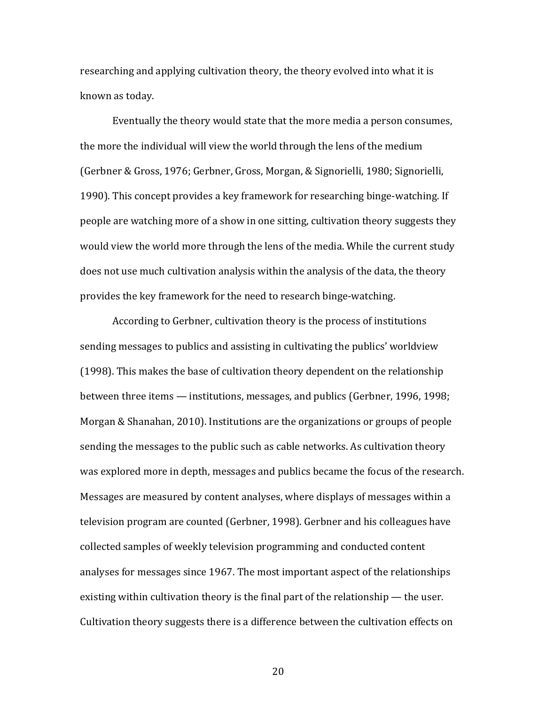researching and applying cultivation theory, the theory evolved into what it is known as today.

Eventually the theory would state that the more media a person consumes, the more the individual will view the world through the lens of the medium (Gerbner & Gross, 1976; Gerbner, Gross, Morgan, & Signorielli, 1980; Signorielli, 1990). This concept provides a key framework for researching binge-watching. If people are watching more of a show in one sitting, cultivation theory suggests they would view the world more through the lens of the media. While the current study does not use much cultivation analysis within the analysis of the data, the theory provides the key framework for the need to research binge-watching.

According to Gerbner, cultivation theory is the process of institutions sending messages to publics and assisting in cultivating the publics' worldview (1998). This makes the base of cultivation theory dependent on the relationship between three items — institutions, messages, and publics (Gerbner, 1996, 1998; Morgan & Shanahan, 2010). Institutions are the organizations or groups of people sending the messages to the public such as cable networks. As cultivation theory was explored more in depth, messages and publics became the focus of the research. Messages are measured by content analyses, where displays of messages within a television program are counted (Gerbner, 1998). Gerbner and his colleagues have collected samples of weekly television programming and conducted content analyses for messages since 1967. The most important aspect of the relationships existing within cultivation theory is the final part of the relationship  $-$  the user. Cultivation theory suggests there is a difference between the cultivation effects on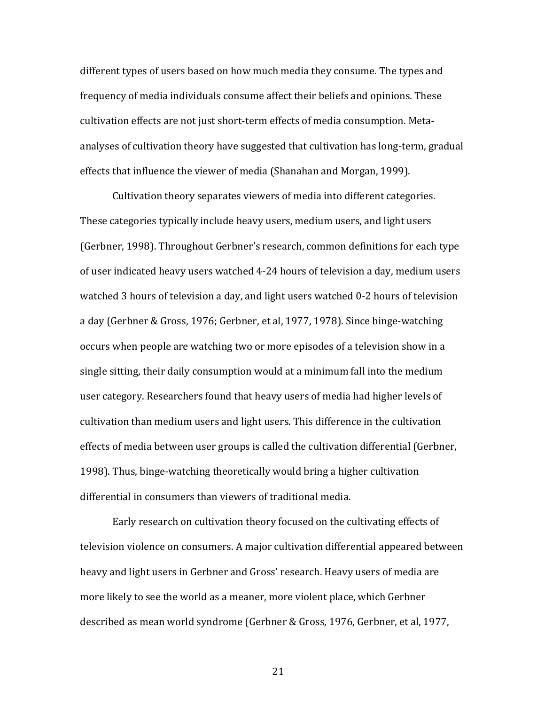different types of users based on how much media they consume. The types and frequency of media individuals consume affect their beliefs and opinions. These cultivation effects are not just short-term effects of media consumption. Metaanalyses of cultivation theory have suggested that cultivation has long-term, gradual effects that influence the viewer of media (Shanahan and Morgan, 1999).

Cultivation theory separates viewers of media into different categories. These categories typically include heavy users, medium users, and light users (Gerbner, 1998). Throughout Gerbner's research, common definitions for each type of user indicated heavy users watched 4-24 hours of television a day, medium users watched 3 hours of television a day, and light users watched 0-2 hours of television a day (Gerbner & Gross, 1976; Gerbner, et al, 1977, 1978). Since binge-watching occurs when people are watching two or more episodes of a television show in a single sitting, their daily consumption would at a minimum fall into the medium user category. Researchers found that heavy users of media had higher levels of cultivation than medium users and light users. This difference in the cultivation effects of media between user groups is called the cultivation differential (Gerbner, 1998). Thus, binge-watching theoretically would bring a higher cultivation differential in consumers than viewers of traditional media.

Early research on cultivation theory focused on the cultivating effects of television violence on consumers. A major cultivation differential appeared between heavy and light users in Gerbner and Gross' research. Heavy users of media are more likely to see the world as a meaner, more violent place, which Gerbner described as mean world syndrome (Gerbner & Gross, 1976, Gerbner, et al, 1977,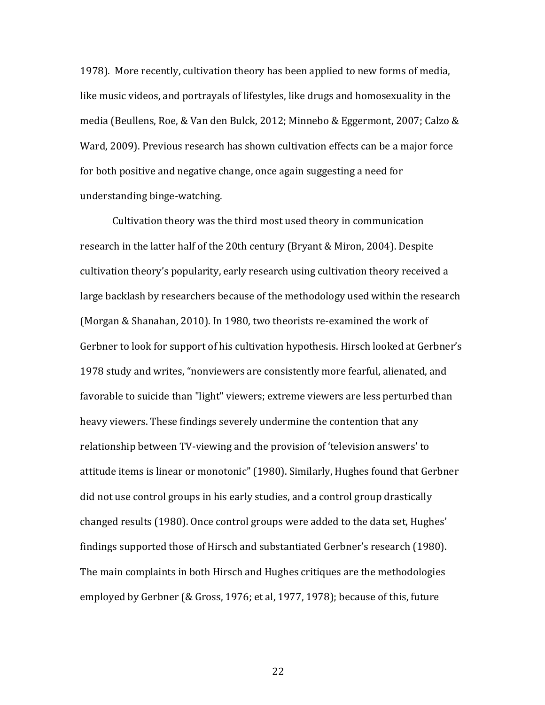1978). More recently, cultivation theory has been applied to new forms of media, like music videos, and portrayals of lifestyles, like drugs and homosexuality in the media (Beullens, Roe, & Van den Bulck, 2012; Minnebo & Eggermont, 2007; Calzo & Ward, 2009). Previous research has shown cultivation effects can be a major force for both positive and negative change, once again suggesting a need for understanding binge-watching.

Cultivation theory was the third most used theory in communication research in the latter half of the 20th century (Bryant & Miron, 2004). Despite cultivation theory's popularity, early research using cultivation theory received a large backlash by researchers because of the methodology used within the research (Morgan & Shanahan, 2010). In 1980, two theorists re-examined the work of Gerbner to look for support of his cultivation hypothesis. Hirsch looked at Gerbner's 1978 study and writes, "nonviewers are consistently more fearful, alienated, and favorable to suicide than "light" viewers; extreme viewers are less perturbed than heavy viewers. These findings severely undermine the contention that any relationship between TV-viewing and the provision of 'television answers' to attitude items is linear or monotonic" (1980). Similarly, Hughes found that Gerbner did not use control groups in his early studies, and a control group drastically changed results (1980). Once control groups were added to the data set, Hughes' findings supported those of Hirsch and substantiated Gerbner's research (1980). The main complaints in both Hirsch and Hughes critiques are the methodologies employed by Gerbner (& Gross, 1976; et al, 1977, 1978); because of this, future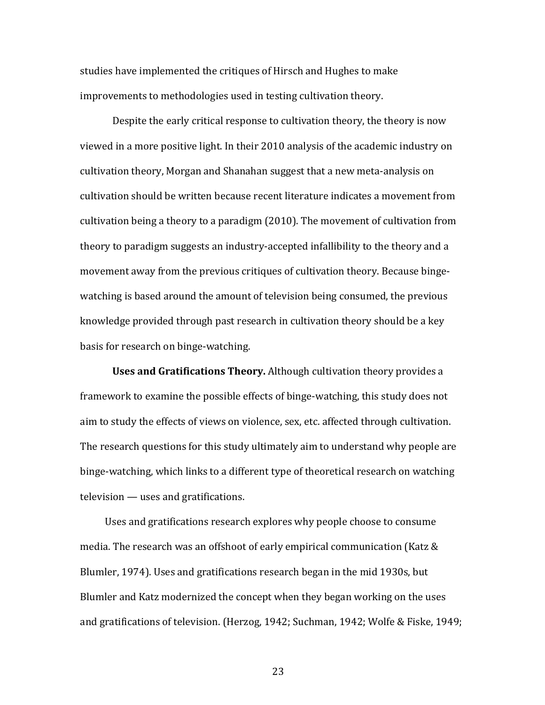studies have implemented the critiques of Hirsch and Hughes to make improvements to methodologies used in testing cultivation theory.

Despite the early critical response to cultivation theory, the theory is now viewed in a more positive light. In their 2010 analysis of the academic industry on cultivation theory, Morgan and Shanahan suggest that a new meta-analysis on cultivation should be written because recent literature indicates a movement from cultivation being a theory to a paradigm  $(2010)$ . The movement of cultivation from theory to paradigm suggests an industry-accepted infallibility to the theory and a movement away from the previous critiques of cultivation theory. Because bingewatching is based around the amount of television being consumed, the previous knowledge provided through past research in cultivation theory should be a key basis for research on binge-watching.

**Uses and Gratifications Theory.** Although cultivation theory provides a framework to examine the possible effects of binge-watching, this study does not aim to study the effects of views on violence, sex, etc. affected through cultivation. The research questions for this study ultimately aim to understand why people are binge-watching, which links to a different type of theoretical research on watching  $television$  — uses and gratifications.

Uses and gratifications research explores why people choose to consume media. The research was an offshoot of early empirical communication (Katz  $&$ Blumler, 1974). Uses and gratifications research began in the mid 1930s, but Blumler and Katz modernized the concept when they began working on the uses and gratifications of television. (Herzog, 1942; Suchman, 1942; Wolfe & Fiske, 1949;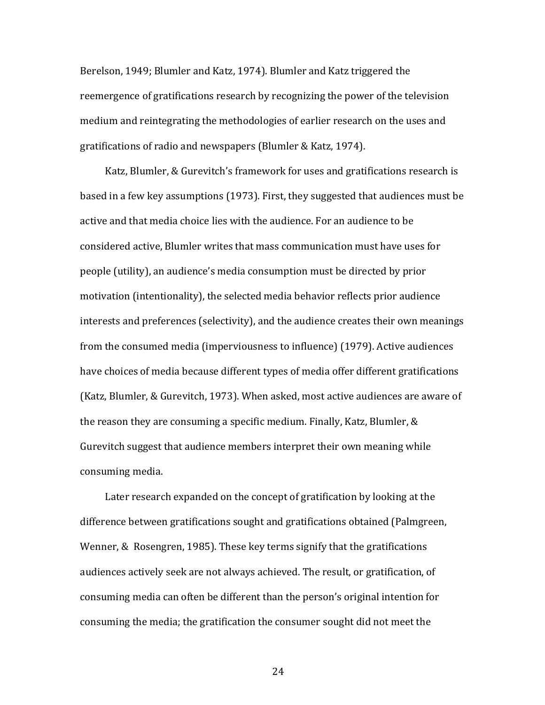Berelson, 1949; Blumler and Katz, 1974). Blumler and Katz triggered the reemergence of gratifications research by recognizing the power of the television medium and reintegrating the methodologies of earlier research on the uses and gratifications of radio and newspapers (Blumler & Katz, 1974).

Katz, Blumler, & Gurevitch's framework for uses and gratifications research is based in a few key assumptions (1973). First, they suggested that audiences must be active and that media choice lies with the audience. For an audience to be considered active, Blumler writes that mass communication must have uses for people (utility), an audience's media consumption must be directed by prior motivation (intentionality), the selected media behavior reflects prior audience interests and preferences (selectivity), and the audience creates their own meanings from the consumed media (imperviousness to influence) (1979). Active audiences have choices of media because different types of media offer different gratifications (Katz, Blumler, & Gurevitch, 1973). When asked, most active audiences are aware of the reason they are consuming a specific medium. Finally, Katz, Blumler,  $&$ Gurevitch suggest that audience members interpret their own meaning while consuming media.

Later research expanded on the concept of gratification by looking at the difference between gratifications sought and gratifications obtained (Palmgreen, Wenner,  $& Rosengren, 1985$ . These key terms signify that the gratifications audiences actively seek are not always achieved. The result, or gratification, of consuming media can often be different than the person's original intention for consuming the media; the gratification the consumer sought did not meet the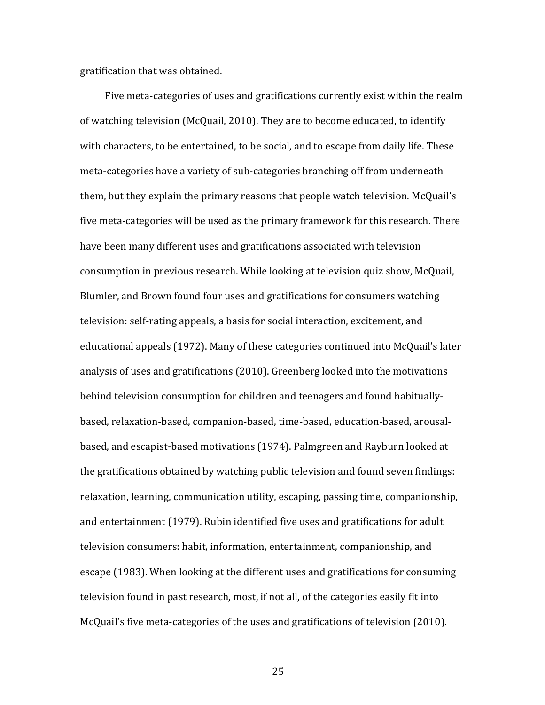gratification that was obtained.

Five meta-categories of uses and gratifications currently exist within the realm of watching television (McQuail, 2010). They are to become educated, to identify with characters, to be entertained, to be social, and to escape from daily life. These meta-categories have a variety of sub-categories branching off from underneath them, but they explain the primary reasons that people watch television. McQuail's five meta-categories will be used as the primary framework for this research. There have been many different uses and gratifications associated with television consumption in previous research. While looking at television quiz show, McQuail, Blumler, and Brown found four uses and gratifications for consumers watching television: self-rating appeals, a basis for social interaction, excitement, and educational appeals (1972). Many of these categories continued into McQuail's later analysis of uses and gratifications (2010). Greenberg looked into the motivations behind television consumption for children and teenagers and found habituallybased, relaxation-based, companion-based, time-based, education-based, arousalbased, and escapist-based motivations (1974). Palmgreen and Rayburn looked at the gratifications obtained by watching public television and found seven findings: relaxation, learning, communication utility, escaping, passing time, companionship, and entertainment (1979). Rubin identified five uses and gratifications for adult television consumers: habit, information, entertainment, companionship, and escape (1983). When looking at the different uses and gratifications for consuming television found in past research, most, if not all, of the categories easily fit into McQuail's five meta-categories of the uses and gratifications of television (2010).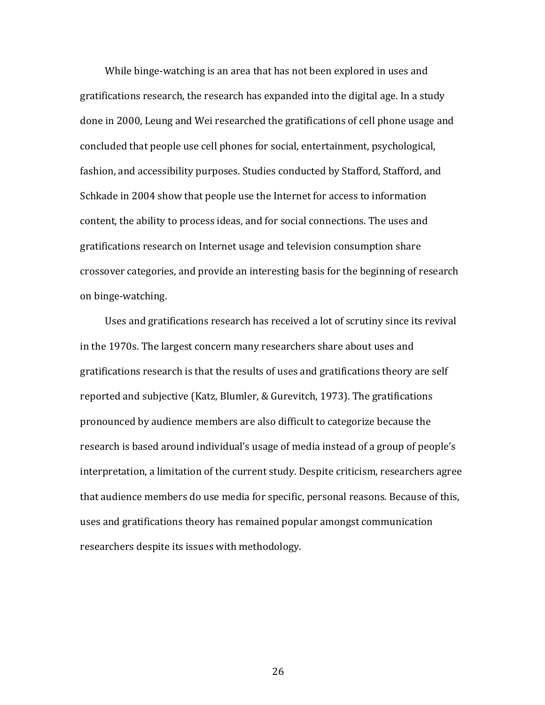While binge-watching is an area that has not been explored in uses and gratifications research, the research has expanded into the digital age. In a study done in 2000, Leung and Wei researched the gratifications of cell phone usage and concluded that people use cell phones for social, entertainment, psychological, fashion, and accessibility purposes. Studies conducted by Stafford, Stafford, and Schkade in 2004 show that people use the Internet for access to information content, the ability to process ideas, and for social connections. The uses and gratifications research on Internet usage and television consumption share crossover categories, and provide an interesting basis for the beginning of research on binge-watching.

Uses and gratifications research has received a lot of scrutiny since its revival in the 1970s. The largest concern many researchers share about uses and gratifications research is that the results of uses and gratifications theory are self reported and subjective (Katz, Blumler, & Gurevitch, 1973). The gratifications pronounced by audience members are also difficult to categorize because the research is based around individual's usage of media instead of a group of people's interpretation, a limitation of the current study. Despite criticism, researchers agree that audience members do use media for specific, personal reasons. Because of this, uses and gratifications theory has remained popular amongst communication researchers despite its issues with methodology.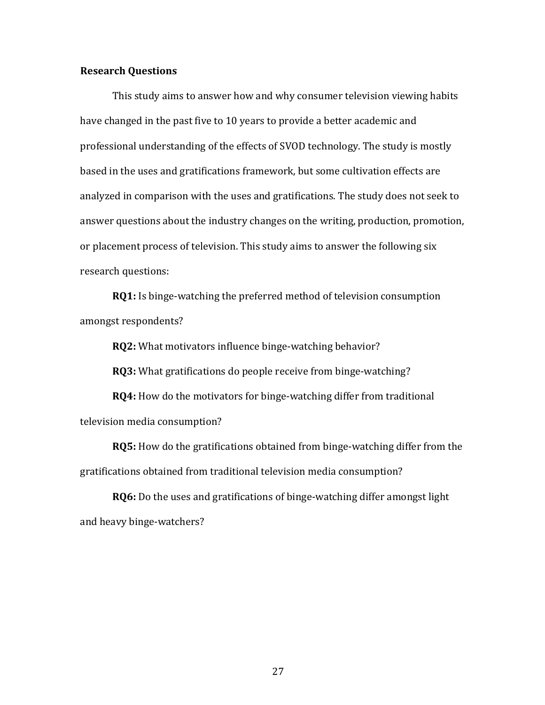## **Research Questions**

This study aims to answer how and why consumer television viewing habits have changed in the past five to 10 years to provide a better academic and professional understanding of the effects of SVOD technology. The study is mostly based in the uses and gratifications framework, but some cultivation effects are analyzed in comparison with the uses and gratifications. The study does not seek to answer questions about the industry changes on the writing, production, promotion, or placement process of television. This study aims to answer the following six research questions:

**RQ1:** Is binge-watching the preferred method of television consumption amongst respondents?

**RQ2:** What motivators influence binge-watching behavior?

**RQ3:** What gratifications do people receive from binge-watching?

**RQ4:** How do the motivators for binge-watching differ from traditional television media consumption?

**RQ5:** How do the gratifications obtained from binge-watching differ from the gratifications obtained from traditional television media consumption?

**RQ6:** Do the uses and gratifications of binge-watching differ amongst light and heavy binge-watchers?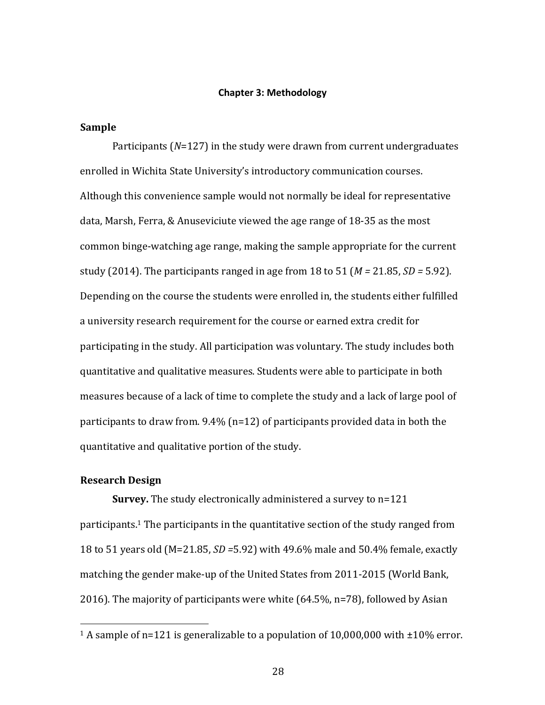### **Chapter 3: Methodology**

# **Sample**

Participants (*N*=127) in the study were drawn from current undergraduates enrolled in Wichita State University's introductory communication courses. Although this convenience sample would not normally be ideal for representative data, Marsh, Ferra, & Anuseviciute viewed the age range of 18-35 as the most common binge-watching age range, making the sample appropriate for the current study (2014). The participants ranged in age from 18 to 51 ( $M = 21.85$ ,  $SD = 5.92$ ). Depending on the course the students were enrolled in, the students either fulfilled a university research requirement for the course or earned extra credit for participating in the study. All participation was voluntary. The study includes both quantitative and qualitative measures. Students were able to participate in both measures because of a lack of time to complete the study and a lack of large pool of participants to draw from.  $9.4\%$  (n=12) of participants provided data in both the quantitative and qualitative portion of the study.

# **Research Design**

 

**Survey.** The study electronically administered a survey to n=121 participants.<sup>1</sup> The participants in the quantitative section of the study ranged from 18 to 51 years old (M=21.85, *SD =*5.92) with 49.6% male and 50.4% female, exactly matching the gender make-up of the United States from 2011-2015 (World Bank, 2016). The majority of participants were white  $(64.5\%, n=78)$ , followed by Asian

<sup>&</sup>lt;sup>1</sup> A sample of n=121 is generalizable to a population of  $10,000,000$  with  $\pm 10\%$  error.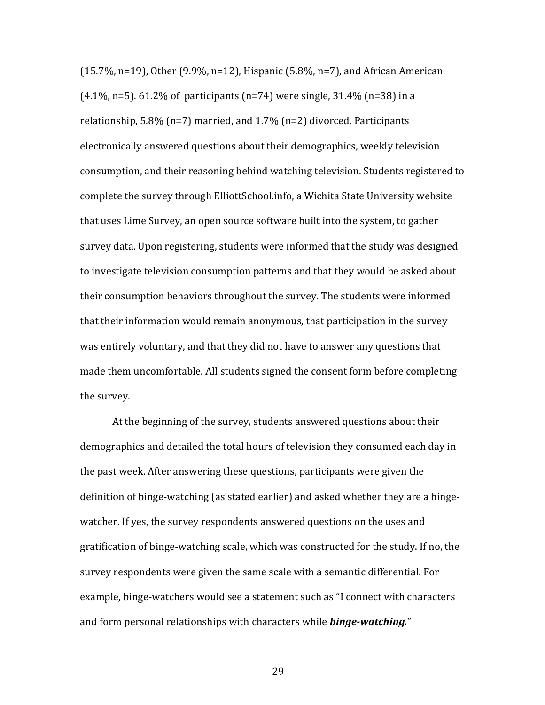$(15.7\%, n=19)$ , Other  $(9.9\%, n=12)$ , Hispanic  $(5.8\%, n=7)$ , and African American  $(4.1\%, n=5)$ . 61.2% of participants  $(n=74)$  were single, 31.4%  $(n=38)$  in a relationship,  $5.8\%$  (n=7) married, and  $1.7\%$  (n=2) divorced. Participants electronically answered questions about their demographics, weekly television consumption, and their reasoning behind watching television. Students registered to complete the survey through ElliottSchool.info, a Wichita State University website that uses Lime Survey, an open source software built into the system, to gather survey data. Upon registering, students were informed that the study was designed to investigate television consumption patterns and that they would be asked about their consumption behaviors throughout the survey. The students were informed that their information would remain anonymous, that participation in the survey was entirely voluntary, and that they did not have to answer any questions that made them uncomfortable. All students signed the consent form before completing the survey.

At the beginning of the survey, students answered questions about their demographics and detailed the total hours of television they consumed each day in the past week. After answering these questions, participants were given the definition of binge-watching (as stated earlier) and asked whether they are a bingewatcher. If yes, the survey respondents answered questions on the uses and gratification of binge-watching scale, which was constructed for the study. If no, the survey respondents were given the same scale with a semantic differential. For example, binge-watchers would see a statement such as "I connect with characters and form personal relationships with characters while **binge-watching.**"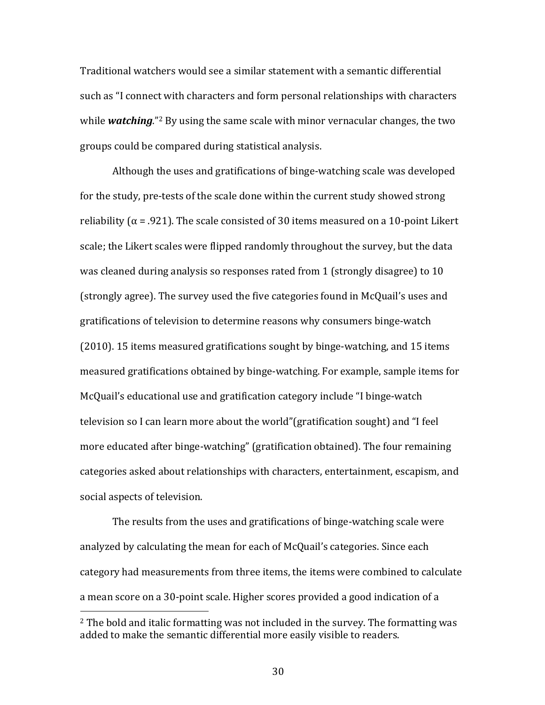Traditional watchers would see a similar statement with a semantic differential such as "I connect with characters and form personal relationships with characters while **watching**."<sup>2</sup> By using the same scale with minor vernacular changes, the two groups could be compared during statistical analysis.

Although the uses and gratifications of binge-watching scale was developed for the study, pre-tests of the scale done within the current study showed strong reliability  $(\alpha = .921)$ . The scale consisted of 30 items measured on a 10-point Likert scale; the Likert scales were flipped randomly throughout the survey, but the data was cleaned during analysis so responses rated from 1 (strongly disagree) to 10 (strongly agree). The survey used the five categories found in McQuail's uses and gratifications of television to determine reasons why consumers binge-watch (2010). 15 items measured gratifications sought by binge-watching, and 15 items measured gratifications obtained by binge-watching. For example, sample items for McQuail's educational use and gratification category include "I binge-watch television so I can learn more about the world"(gratification sought) and "I feel more educated after binge-watching" (gratification obtained). The four remaining categories asked about relationships with characters, entertainment, escapism, and social aspects of television.

The results from the uses and gratifications of binge-watching scale were analyzed by calculating the mean for each of McQuail's categories. Since each category had measurements from three items, the items were combined to calculate a mean score on a 30-point scale. Higher scores provided a good indication of a

 $2$  The bold and italic formatting was not included in the survey. The formatting was added to make the semantic differential more easily visible to readers.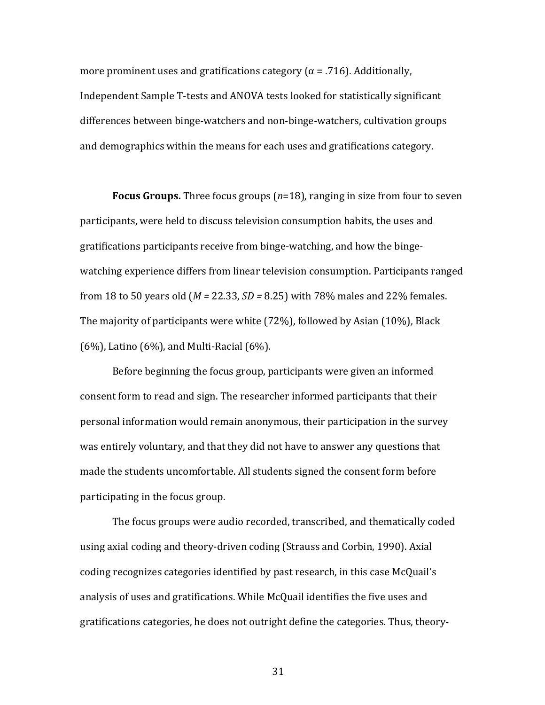more prominent uses and gratifications category  $(\alpha = .716)$ . Additionally, Independent Sample T-tests and ANOVA tests looked for statistically significant differences between binge-watchers and non-binge-watchers, cultivation groups and demographics within the means for each uses and gratifications category.

**Focus Groups.** Three focus groups  $(n=18)$ , ranging in size from four to seven participants, were held to discuss television consumption habits, the uses and gratifications participants receive from binge-watching, and how the bingewatching experience differs from linear television consumption. Participants ranged from 18 to 50 years old ( $M = 22.33$ ,  $SD = 8.25$ ) with 78% males and 22% females. The majority of participants were white  $(72%)$ , followed by Asian  $(10%)$ , Black  $(6\%)$ , Latino  $(6\%)$ , and Multi-Racial  $(6\%)$ .

Before beginning the focus group, participants were given an informed consent form to read and sign. The researcher informed participants that their personal information would remain anonymous, their participation in the survey was entirely voluntary, and that they did not have to answer any questions that made the students uncomfortable. All students signed the consent form before participating in the focus group.

The focus groups were audio recorded, transcribed, and thematically coded using axial coding and theory-driven coding (Strauss and Corbin, 1990). Axial coding recognizes categories identified by past research, in this case McQuail's analysis of uses and gratifications. While McQuail identifies the five uses and gratifications categories, he does not outright define the categories. Thus, theory-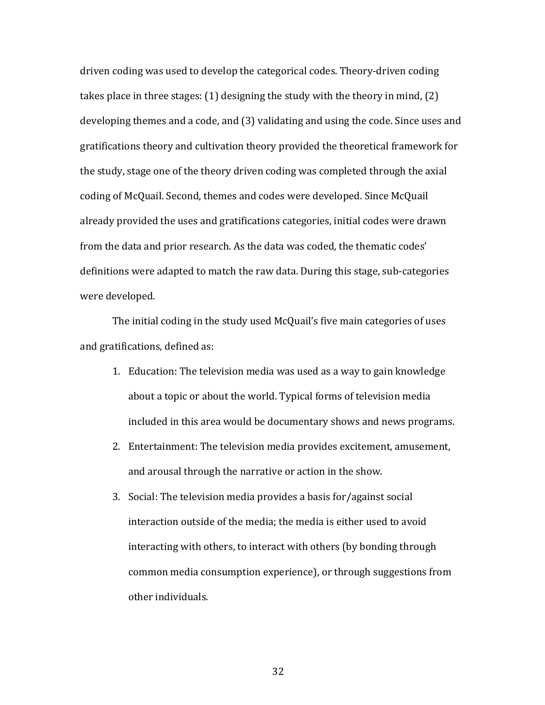driven coding was used to develop the categorical codes. Theory-driven coding takes place in three stages:  $(1)$  designing the study with the theory in mind,  $(2)$ developing themes and a code, and (3) validating and using the code. Since uses and gratifications theory and cultivation theory provided the theoretical framework for the study, stage one of the theory driven coding was completed through the axial coding of McQuail. Second, themes and codes were developed. Since McQuail already provided the uses and gratifications categories, initial codes were drawn from the data and prior research. As the data was coded, the thematic codes' definitions were adapted to match the raw data. During this stage, sub-categories were developed.

The initial coding in the study used McQuail's five main categories of uses and gratifications, defined as:

- 1. Education: The television media was used as a way to gain knowledge about a topic or about the world. Typical forms of television media included in this area would be documentary shows and news programs.
- 2. Entertainment: The television media provides excitement, amusement, and arousal through the narrative or action in the show.
- 3. Social: The television media provides a basis for/against social interaction outside of the media; the media is either used to avoid interacting with others, to interact with others (by bonding through common media consumption experience), or through suggestions from other individuals.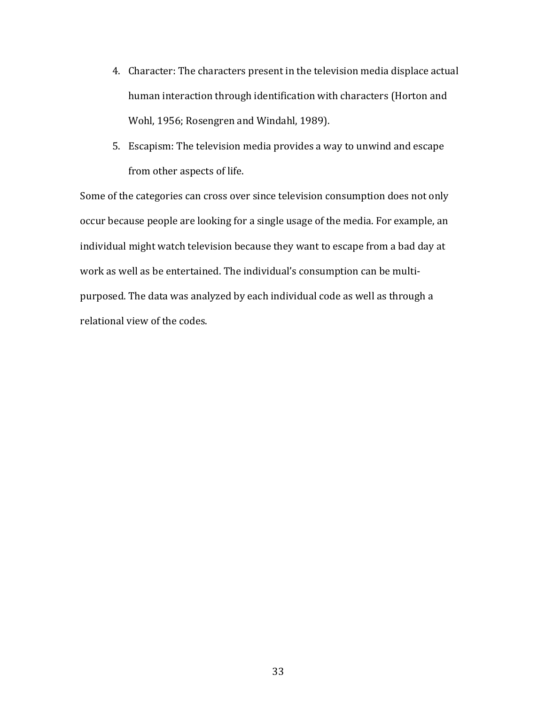- 4. Character: The characters present in the television media displace actual human interaction through identification with characters (Horton and Wohl, 1956; Rosengren and Windahl, 1989).
- 5. Escapism: The television media provides a way to unwind and escape from other aspects of life.

Some of the categories can cross over since television consumption does not only occur because people are looking for a single usage of the media. For example, an individual might watch television because they want to escape from a bad day at work as well as be entertained. The individual's consumption can be multipurposed. The data was analyzed by each individual code as well as through a relational view of the codes.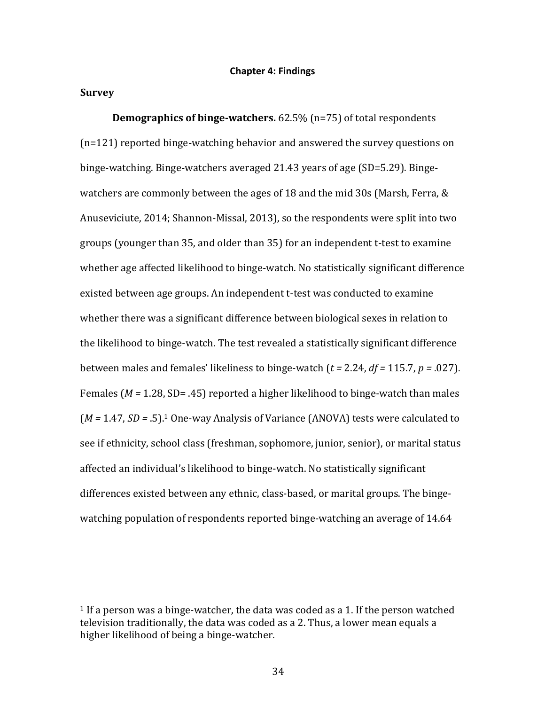#### **Chapter 4: Findings**

#### **Survey**

**Demographics of binge-watchers.** 62.5% (n=75) of total respondents  $(n=121)$  reported binge-watching behavior and answered the survey questions on binge-watching. Binge-watchers averaged 21.43 years of age (SD=5.29). Bingewatchers are commonly between the ages of 18 and the mid 30s (Marsh, Ferra,  $&$ Anuseviciute, 2014; Shannon-Missal, 2013), so the respondents were split into two groups (younger than 35, and older than 35) for an independent t-test to examine whether age affected likelihood to binge-watch. No statistically significant difference existed between age groups. An independent t-test was conducted to examine whether there was a significant difference between biological sexes in relation to the likelihood to binge-watch. The test revealed a statistically significant difference between males and females' likeliness to binge-watch  $(t = 2.24, df = 115.7, p = .027)$ . Females  $(M = 1.28, SD = .45)$  reported a higher likelihood to binge-watch than males (*M* = 1.47, *SD* = .5).<sup>1</sup> One-way Analysis of Variance (ANOVA) tests were calculated to see if ethnicity, school class (freshman, sophomore, junior, senior), or marital status affected an individual's likelihood to binge-watch. No statistically significant differences existed between any ethnic, class-based, or marital groups. The bingewatching population of respondents reported binge-watching an average of 14.64

<sup>&</sup>lt;sup>1</sup> If a person was a binge-watcher, the data was coded as a 1. If the person watched television traditionally, the data was coded as a 2. Thus, a lower mean equals a higher likelihood of being a binge-watcher.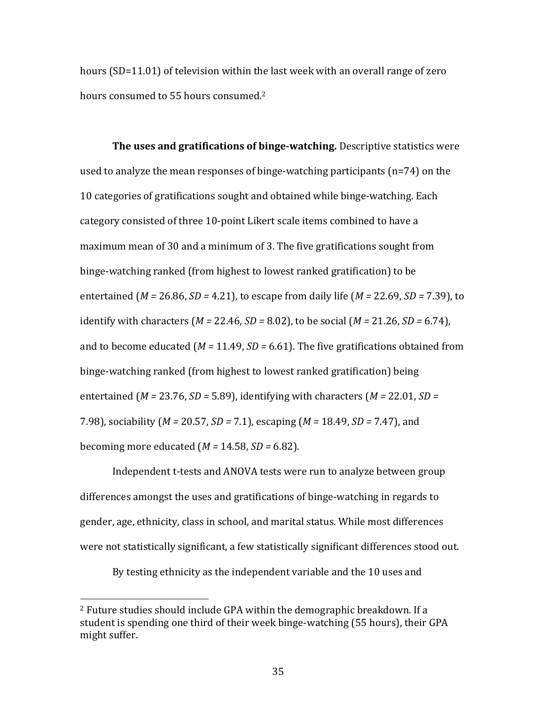hours  $(SD=11.01)$  of television within the last week with an overall range of zero hours consumed to 55 hours consumed.<sup>2</sup>

**The uses and gratifications of binge-watching.** Descriptive statistics were used to analyze the mean responses of binge-watching participants  $(n=74)$  on the 10 categories of gratifications sought and obtained while binge-watching. Each category consisted of three 10-point Likert scale items combined to have a maximum mean of 30 and a minimum of 3. The five gratifications sought from binge-watching ranked (from highest to lowest ranked gratification) to be entertained  $(M = 26.86, SD = 4.21)$ , to escape from daily life  $(M = 22.69, SD = 7.39)$ , to identify with characters  $(M = 22.46, SD = 8.02)$ , to be social  $(M = 21.26, SD = 6.74)$ , and to become educated ( $M = 11.49$ ,  $SD = 6.61$ ). The five gratifications obtained from binge-watching ranked (from highest to lowest ranked gratification) being entertained  $(M = 23.76, SD = 5.89)$ , identifying with characters  $(M = 22.01, SD =$ 7.98), sociability (*M* = 20.57, *SD* = 7.1), escaping (*M* = 18.49, *SD* = 7.47), and becoming more educated  $(M = 14.58, SD = 6.82)$ .

Independent t-tests and ANOVA tests were run to analyze between group differences amongst the uses and gratifications of binge-watching in regards to gender, age, ethnicity, class in school, and marital status. While most differences were not statistically significant, a few statistically significant differences stood out.

By testing ethnicity as the independent variable and the 10 uses and

<sup>&</sup>lt;sup>2</sup> Future studies should include GPA within the demographic breakdown. If a student is spending one third of their week binge-watching (55 hours), their GPA might suffer.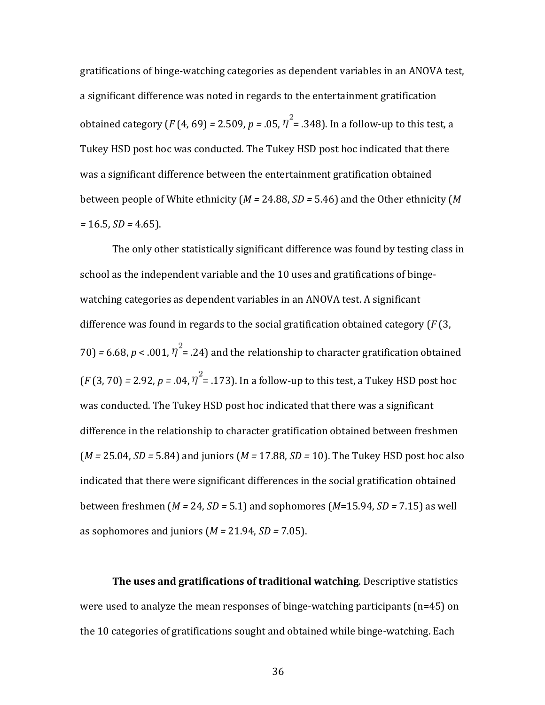gratifications of binge-watching categories as dependent variables in an ANOVA test, a significant difference was noted in regards to the entertainment gratification obtained category  $(F(4, 69) = 2.509, p = .05, \eta^2 = .348)$ . In a follow-up to this test, a Tukey HSD post hoc was conducted. The Tukey HSD post hoc indicated that there was a significant difference between the entertainment gratification obtained between people of White ethnicity  $(M = 24.88, SD = 5.46)$  and the Other ethnicity  $(M$ *=* 16.5, *SD =* 4.65).

The only other statistically significant difference was found by testing class in school as the independent variable and the 10 uses and gratifications of bingewatching categories as dependent variables in an ANOVA test. A significant difference was found in regards to the social gratification obtained category  $(F(3,$ 70) = 6.68,  $p < .001$ ,  $\eta^2$  = .24) and the relationship to character gratification obtained  $(F(3, 70) = 2.92, p = .04, \eta^2 = .173)$ . In a follow-up to this test, a Tukey HSD post hoc was conducted. The Tukey HSD post hoc indicated that there was a significant difference in the relationship to character gratification obtained between freshmen  $(M = 25.04, SD = 5.84)$  and juniors  $(M = 17.88, SD = 10)$ . The Tukey HSD post hoc also indicated that there were significant differences in the social gratification obtained between freshmen  $(M = 24, SD = 5.1)$  and sophomores  $(M=15.94, SD = 7.15)$  as well as sophomores and juniors  $(M = 21.94, SD = 7.05)$ .

**The uses and gratifications of traditional watching.** Descriptive statistics were used to analyze the mean responses of binge-watching participants  $(n=45)$  on the 10 categories of gratifications sought and obtained while binge-watching. Each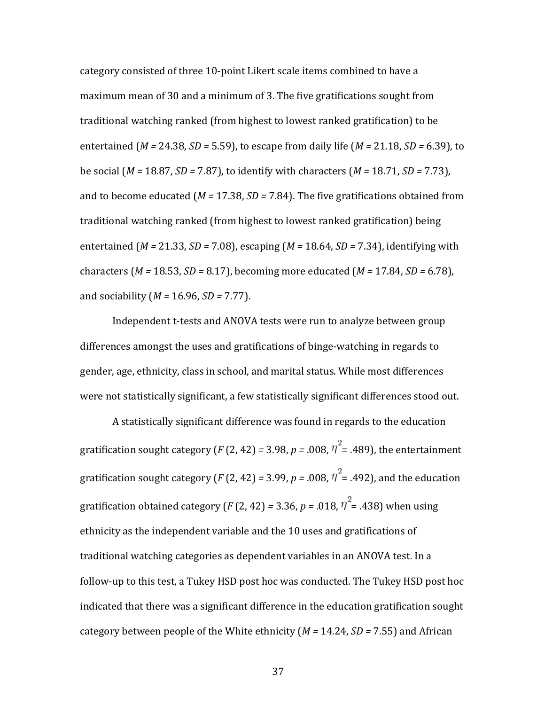category consisted of three 10-point Likert scale items combined to have a maximum mean of 30 and a minimum of 3. The five gratifications sought from traditional watching ranked (from highest to lowest ranked gratification) to be entertained  $(M = 24.38, SD = 5.59)$ , to escape from daily life  $(M = 21.18, SD = 6.39)$ , to be social (*M* = 18.87, *SD* = 7.87), to identify with characters (*M* = 18.71, *SD* = 7.73), and to become educated  $(M = 17.38, SD = 7.84)$ . The five gratifications obtained from traditional watching ranked (from highest to lowest ranked gratification) being entertained  $(M = 21.33, SD = 7.08)$ , escaping  $(M = 18.64, SD = 7.34)$ , identifying with characters ( $M = 18.53$ ,  $SD = 8.17$ ), becoming more educated ( $M = 17.84$ ,  $SD = 6.78$ ), and sociability (*M* = 16.96, *SD* = 7.77).

Independent t-tests and ANOVA tests were run to analyze between group differences amongst the uses and gratifications of binge-watching in regards to gender, age, ethnicity, class in school, and marital status. While most differences were not statistically significant, a few statistically significant differences stood out.

A statistically significant difference was found in regards to the education gratification sought category (*F* (2, 42) = 3.98, *p* = .008,  $\eta^2$  = .489), the entertainment gratification sought category (*F* (2, 42) = 3.99, *p* = .008,  $\eta^2$  = .492), and the education gratification obtained category (*F* (2, 42) = 3.36, *p* = .018,  $\eta^2$  = .438) when using ethnicity as the independent variable and the 10 uses and gratifications of traditional watching categories as dependent variables in an ANOVA test. In a follow-up to this test, a Tukey HSD post hoc was conducted. The Tukey HSD post hoc indicated that there was a significant difference in the education gratification sought category between people of the White ethnicity  $(M = 14.24, SD = 7.55)$  and African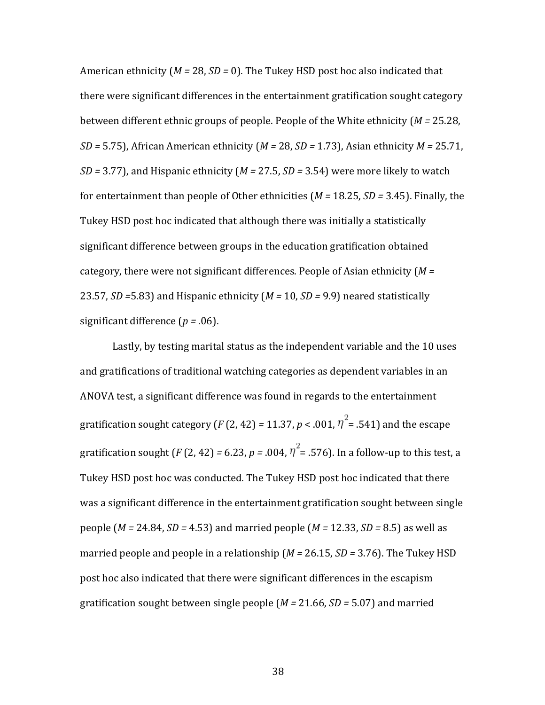American ethnicity  $(M = 28, SD = 0)$ . The Tukey HSD post hoc also indicated that there were significant differences in the entertainment gratification sought category between different ethnic groups of people. People of the White ethnicity (*M* = 25.28, *SD* = 5.75), African American ethnicity (*M* = 28, *SD* = 1.73), Asian ethnicity *M* = 25.71, *SD* = 3.77), and Hispanic ethnicity (*M* = 27.5, *SD* = 3.54) were more likely to watch for entertainment than people of Other ethnicities ( $M = 18.25$ ,  $SD = 3.45$ ). Finally, the Tukey HSD post hoc indicated that although there was initially a statistically significant difference between groups in the education gratification obtained category, there were not significant differences. People of Asian ethnicity  $(M =$ 23.57, *SD* = 5.83) and Hispanic ethnicity  $(M = 10, SD = 9.9)$  neared statistically significant difference  $(p = .06)$ .

Lastly, by testing marital status as the independent variable and the 10 uses and gratifications of traditional watching categories as dependent variables in an ANOVA test, a significant difference was found in regards to the entertainment gratification sought category (*F* (2, 42) = 11.37, *p* < .001,  $\eta^2$  = .541) and the escape gratification sought  $(F(2, 42) = 6.23, p = .004, \eta^2 = .576)$ . In a follow-up to this test, a Tukey HSD post hoc was conducted. The Tukey HSD post hoc indicated that there was a significant difference in the entertainment gratification sought between single people  $(M = 24.84, SD = 4.53)$  and married people  $(M = 12.33, SD = 8.5)$  as well as married people and people in a relationship  $(M = 26.15, SD = 3.76)$ . The Tukey HSD post hoc also indicated that there were significant differences in the escapism gratification sought between single people  $(M = 21.66, SD = 5.07)$  and married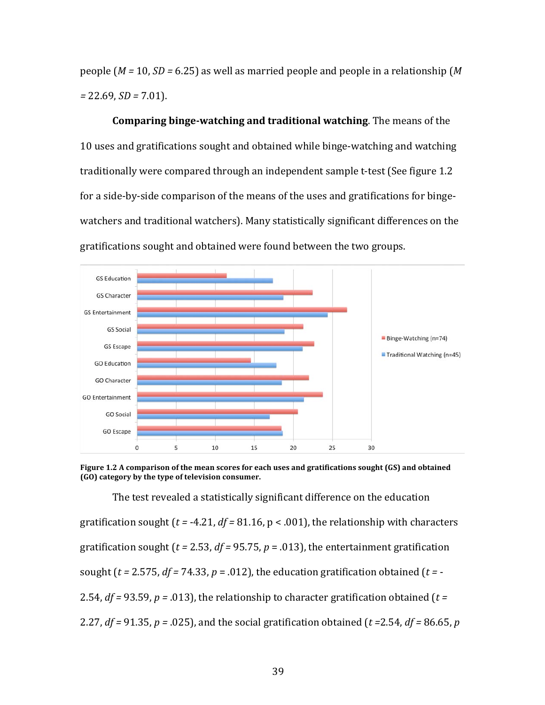people  $(M = 10, SD = 6.25)$  as well as married people and people in a relationship  $(M<sup>2</sup>)$ *=* 22.69, *SD =* 7.01).

**Comparing binge-watching and traditional watching**. The means of the 10 uses and gratifications sought and obtained while binge-watching and watching traditionally were compared through an independent sample t-test (See figure 1.2) for a side-by-side comparison of the means of the uses and gratifications for bingewatchers and traditional watchers). Many statistically significant differences on the gratifications sought and obtained were found between the two groups.



Figure 1.2 A comparison of the mean scores for each uses and gratifications sought (GS) and obtained **(GO)** category by the type of television consumer.

The test revealed a statistically significant difference on the education gratification sought  $(t = -4.21, df = 81.16, p < .001)$ , the relationship with characters gratification sought ( $t = 2.53$ ,  $df = 95.75$ ,  $p = .013$ ), the entertainment gratification sought ( $t = 2.575$ ,  $df = 74.33$ ,  $p = .012$ ), the education gratification obtained ( $t = -$ 2.54,  $df = 93.59$ ,  $p = .013$ ), the relationship to character gratification obtained ( $t =$ 2.27,  $df = 91.35$ ,  $p = .025$ ), and the social gratification obtained ( $t = 2.54$ ,  $df = 86.65$ ,  $p = 2.54$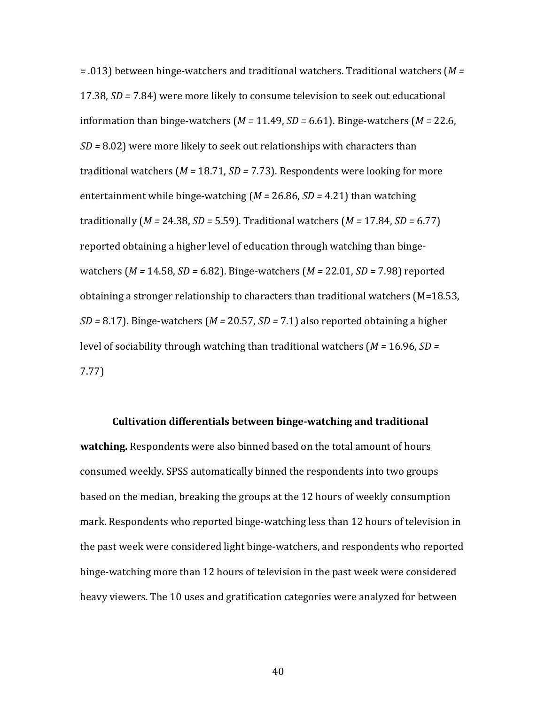*=* .013) between binge-watchers and traditional watchers. Traditional watchers (*M =* 17.38, *SD* = 7.84) were more likely to consume television to seek out educational information than binge-watchers  $(M = 11.49, SD = 6.61)$ . Binge-watchers  $(M = 22.6,$ *SD* = 8.02) were more likely to seek out relationships with characters than traditional watchers  $(M = 18.71, SD = 7.73)$ . Respondents were looking for more entertainment while binge-watching  $(M = 26.86, SD = 4.21)$  than watching traditionally  $(M = 24.38, SD = 5.59)$ . Traditional watchers  $(M = 17.84, SD = 6.77)$ reported obtaining a higher level of education through watching than bingewatchers (*M* = 14.58, *SD* = 6.82). Binge-watchers (*M* = 22.01, *SD* = 7.98) reported obtaining a stronger relationship to characters than traditional watchers  $(M=18.53)$ , *SD* = 8.17). Binge-watchers ( $M = 20.57$ , *SD* = 7.1) also reported obtaining a higher level of sociability through watching than traditional watchers (*M* = 16.96, *SD* = 7.77)

#### **Cultivation differentials between binge-watching and traditional**

**watching.** Respondents were also binned based on the total amount of hours consumed weekly. SPSS automatically binned the respondents into two groups based on the median, breaking the groups at the 12 hours of weekly consumption mark. Respondents who reported binge-watching less than 12 hours of television in the past week were considered light binge-watchers, and respondents who reported binge-watching more than 12 hours of television in the past week were considered heavy viewers. The 10 uses and gratification categories were analyzed for between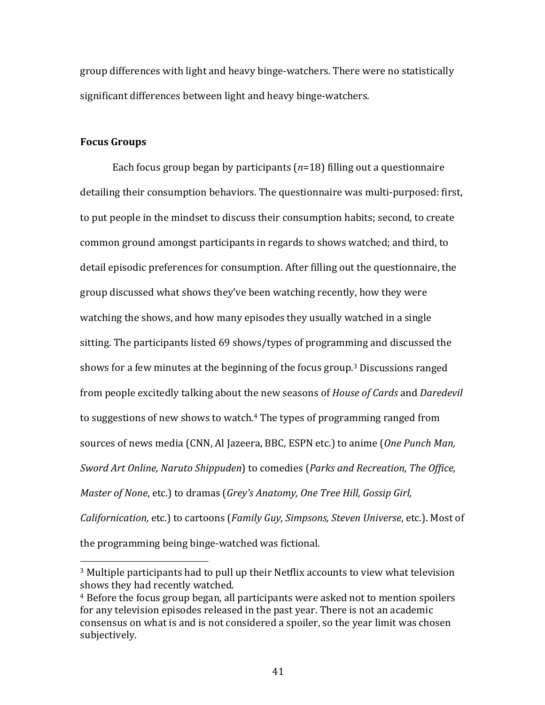group differences with light and heavy binge-watchers. There were no statistically significant differences between light and heavy binge-watchers.

### **Focus Groups**

 

Each focus group began by participants  $(n=18)$  filling out a questionnaire detailing their consumption behaviors. The questionnaire was multi-purposed: first, to put people in the mindset to discuss their consumption habits; second, to create common ground amongst participants in regards to shows watched; and third, to detail episodic preferences for consumption. After filling out the questionnaire, the group discussed what shows they've been watching recently, how they were watching the shows, and how many episodes they usually watched in a single sitting. The participants listed 69 shows/types of programming and discussed the shows for a few minutes at the beginning of the focus group.<sup>3</sup> Discussions ranged from people excitedly talking about the new seasons of *House of Cards* and *Daredevil* to suggestions of new shows to watch.<sup>4</sup> The types of programming ranged from sources of news media (CNN, Al Jazeera, BBC, ESPN etc.) to anime (*One Punch Man*, *Sword Art Online, Naruto Shippuden*) to comedies (*Parks and Recreation, The Office, Master of None, etc.*) to dramas (*Grey's Anatomy, One Tree Hill, Gossip Girl, Californication,* etc.) to cartoons (*Family Guy, Simpsons, Steven Universe,* etc.). Most of the programming being binge-watched was fictional.

<sup>&</sup>lt;sup>3</sup> Multiple participants had to pull up their Netflix accounts to view what television shows they had recently watched.

<sup>&</sup>lt;sup>4</sup> Before the focus group began, all participants were asked not to mention spoilers for any television episodes released in the past year. There is not an academic consensus on what is and is not considered a spoiler, so the vear limit was chosen subjectively.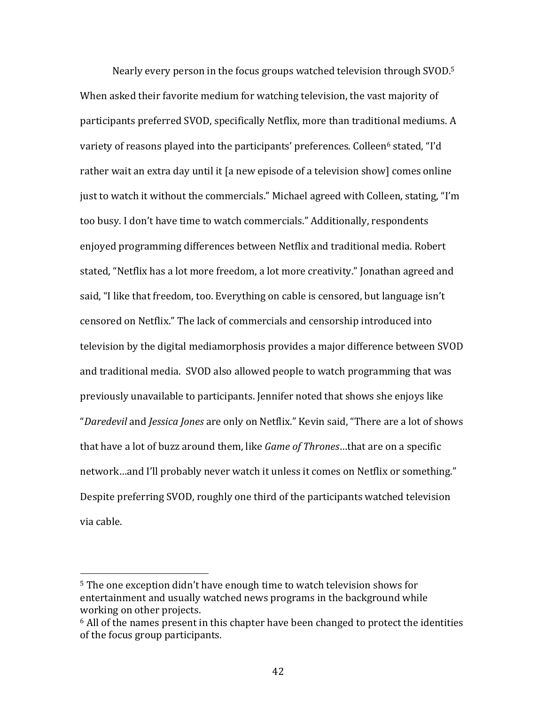Nearly every person in the focus groups watched television through SVOD.<sup>5</sup> When asked their favorite medium for watching television, the vast majority of participants preferred SVOD, specifically Netflix, more than traditional mediums. A variety of reasons played into the participants' preferences. Colleen<sup>6</sup> stated, "I'd rather wait an extra day until it [a new episode of a television show] comes online just to watch it without the commercials." Michael agreed with Colleen, stating, "I'm too busy. I don't have time to watch commercials." Additionally, respondents enjoyed programming differences between Netflix and traditional media. Robert stated, "Netflix has a lot more freedom, a lot more creativity." Ionathan agreed and said, "I like that freedom, too. Everything on cable is censored, but language isn't censored on Netflix." The lack of commercials and censorship introduced into television by the digital mediamorphosis provides a major difference between SVOD and traditional media. SVOD also allowed people to watch programming that was previously unavailable to participants. Jennifer noted that shows she enjoys like "Daredevil and *Jessica Jones* are only on Netflix." Kevin said, "There are a lot of shows that have a lot of buzz around them, like *Game of Thrones*...that are on a specific network…and I'll probably never watch it unless it comes on Netflix or something." Despite preferring SVOD, roughly one third of the participants watched television via cable.

<sup>&</sup>lt;sup>5</sup> The one exception didn't have enough time to watch television shows for entertainment and usually watched news programs in the background while working on other projects.

 $6$  All of the names present in this chapter have been changed to protect the identities of the focus group participants.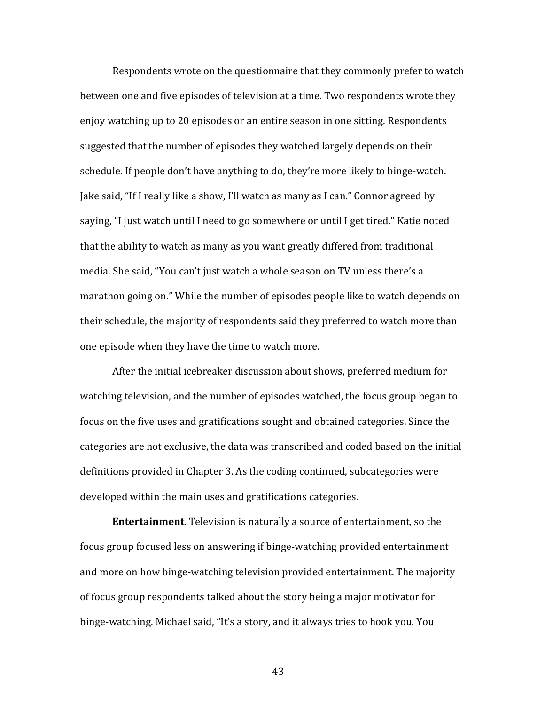Respondents wrote on the questionnaire that they commonly prefer to watch between one and five episodes of television at a time. Two respondents wrote they enjoy watching up to 20 episodes or an entire season in one sitting. Respondents suggested that the number of episodes they watched largely depends on their schedule. If people don't have anything to do, they're more likely to binge-watch. Jake said, "If I really like a show, I'll watch as many as I can." Connor agreed by saying, "I just watch until I need to go somewhere or until I get tired." Katie noted that the ability to watch as many as you want greatly differed from traditional media. She said, "You can't just watch a whole season on TV unless there's a marathon going on." While the number of episodes people like to watch depends on their schedule, the majority of respondents said they preferred to watch more than one episode when they have the time to watch more.

After the initial icebreaker discussion about shows, preferred medium for watching television, and the number of episodes watched, the focus group began to focus on the five uses and gratifications sought and obtained categories. Since the categories are not exclusive, the data was transcribed and coded based on the initial definitions provided in Chapter 3. As the coding continued, subcategories were developed within the main uses and gratifications categories.

**Entertainment**. Television is naturally a source of entertainment, so the focus group focused less on answering if binge-watching provided entertainment and more on how binge-watching television provided entertainment. The majority of focus group respondents talked about the story being a major motivator for binge-watching. Michael said, "It's a story, and it always tries to hook you. You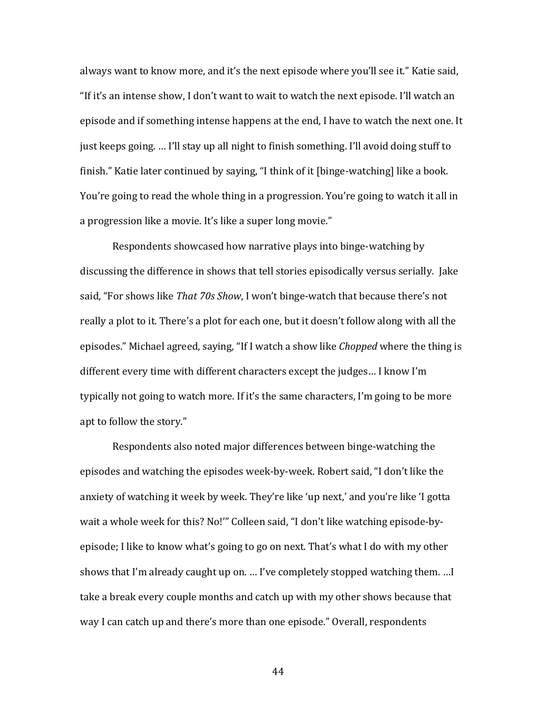always want to know more, and it's the next episode where you'll see it." Katie said, "If it's an intense show, I don't want to wait to watch the next episode. I'll watch an episode and if something intense happens at the end, I have to watch the next one. It just keeps going. ... I'll stay up all night to finish something. I'll avoid doing stuff to finish." Katie later continued by saying, "I think of it [binge-watching] like a book. You're going to read the whole thing in a progression. You're going to watch it all in a progression like a movie. It's like a super long movie."

Respondents showcased how narrative plays into binge-watching by discussing the difference in shows that tell stories episodically versus serially. Jake said, "For shows like *That 70s Show*, I won't binge-watch that because there's not really a plot to it. There's a plot for each one, but it doesn't follow along with all the episodes." Michael agreed, saying, "If I watch a show like *Chopped* where the thing is different every time with different characters except the judges... I know I'm typically not going to watch more. If it's the same characters, I'm going to be more apt to follow the story."

Respondents also noted major differences between binge-watching the episodes and watching the episodes week-by-week. Robert said, "I don't like the anxiety of watching it week by week. They're like 'up next,' and you're like 'I gotta wait a whole week for this? No!"" Colleen said, "I don't like watching episode-byepisode; I like to know what's going to go on next. That's what I do with my other shows that I'm already caught up on. ... I've completely stopped watching them. ... I take a break every couple months and catch up with my other shows because that way I can catch up and there's more than one episode." Overall, respondents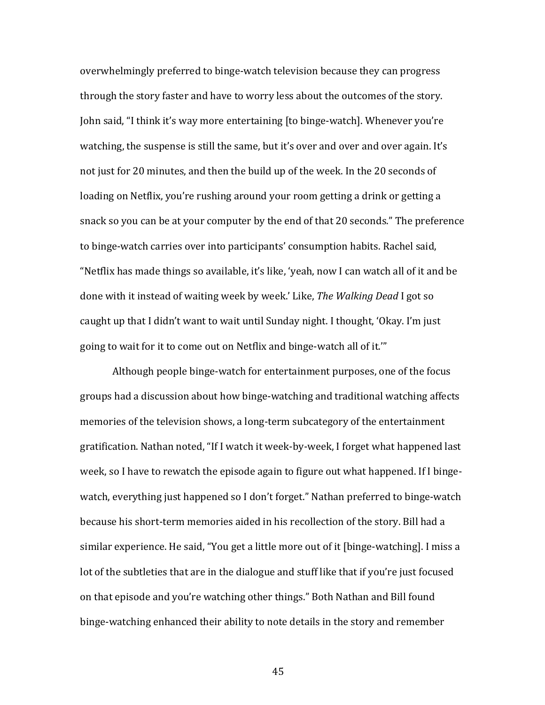overwhelmingly preferred to binge-watch television because they can progress through the story faster and have to worry less about the outcomes of the story. John said, "I think it's way more entertaining [to binge-watch]. Whenever you're watching, the suspense is still the same, but it's over and over and over again. It's not just for 20 minutes, and then the build up of the week. In the 20 seconds of loading on Netflix, you're rushing around your room getting a drink or getting a snack so you can be at your computer by the end of that 20 seconds." The preference to binge-watch carries over into participants' consumption habits. Rachel said, "Netflix has made things so available, it's like, 'yeah, now I can watch all of it and be done with it instead of waiting week by week.' Like, *The Walking Dead* I got so caught up that I didn't want to wait until Sunday night. I thought, 'Okay. I'm just going to wait for it to come out on Netflix and binge-watch all of it."

Although people binge-watch for entertainment purposes, one of the focus groups had a discussion about how binge-watching and traditional watching affects memories of the television shows, a long-term subcategory of the entertainment gratification. Nathan noted, "If I watch it week-by-week, I forget what happened last week, so I have to rewatch the episode again to figure out what happened. If I bingewatch, everything just happened so I don't forget." Nathan preferred to binge-watch because his short-term memories aided in his recollection of the story. Bill had a similar experience. He said, "You get a little more out of it [binge-watching]. I miss a lot of the subtleties that are in the dialogue and stuff like that if you're just focused on that episode and you're watching other things." Both Nathan and Bill found binge-watching enhanced their ability to note details in the story and remember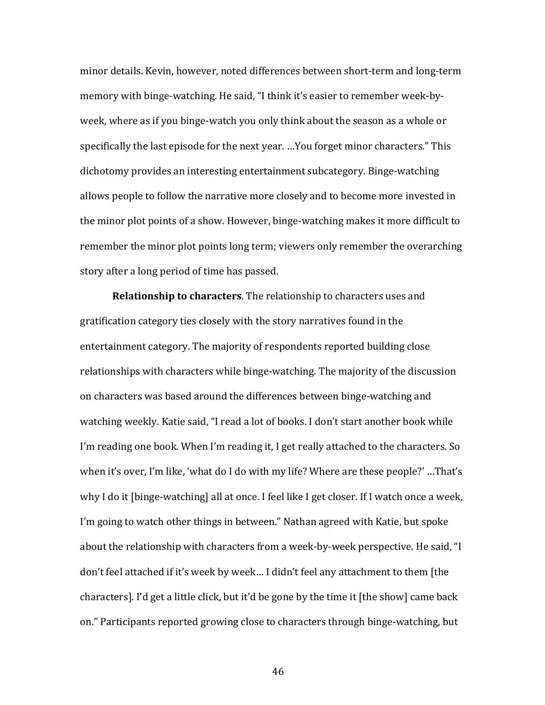minor details. Kevin, however, noted differences between short-term and long-term memory with binge-watching. He said, "I think it's easier to remember week-byweek, where as if you binge-watch you only think about the season as a whole or specifically the last episode for the next year. ...You forget minor characters." This dichotomy provides an interesting entertainment subcategory. Binge-watching allows people to follow the narrative more closely and to become more invested in the minor plot points of a show. However, binge-watching makes it more difficult to remember the minor plot points long term; viewers only remember the overarching story after a long period of time has passed.

**Relationship to characters**. The relationship to characters uses and gratification category ties closely with the story narratives found in the entertainment category. The majority of respondents reported building close relationships with characters while binge-watching. The majority of the discussion on characters was based around the differences between binge-watching and watching weekly. Katie said, "I read a lot of books. I don't start another book while I'm reading one book. When I'm reading it, I get really attached to the characters. So when it's over, I'm like, 'what do I do with my life? Where are these people?' ...That's why I do it [binge-watching] all at once. I feel like I get closer. If I watch once a week, I'm going to watch other things in between." Nathan agreed with Katie, but spoke about the relationship with characters from a week-by-week perspective. He said, "I don't feel attached if it's week by week... I didn't feel any attachment to them [the characters]. I'd get a little click, but it'd be gone by the time it [the show] came back on." Participants reported growing close to characters through binge-watching, but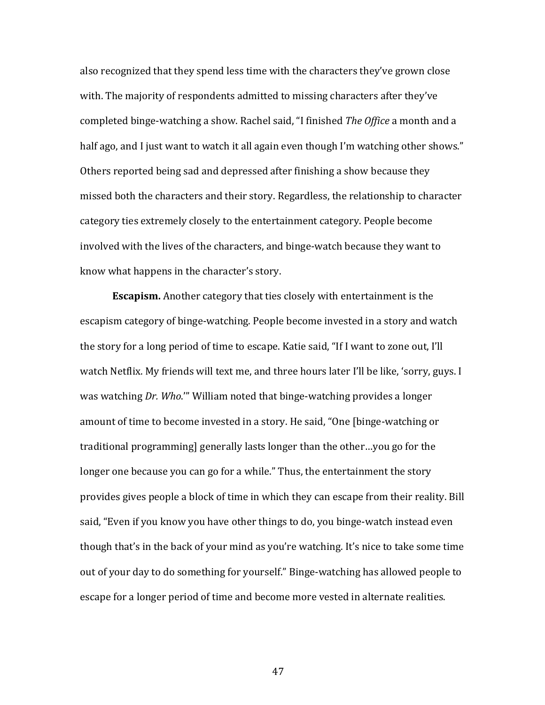also recognized that they spend less time with the characters they've grown close with. The majority of respondents admitted to missing characters after they've completed binge-watching a show. Rachel said, "I finished *The Office* a month and a half ago, and I just want to watch it all again even though I'm watching other shows." Others reported being sad and depressed after finishing a show because they missed both the characters and their story. Regardless, the relationship to character category ties extremely closely to the entertainment category. People become involved with the lives of the characters, and binge-watch because they want to know what happens in the character's story.

**Escapism.** Another category that ties closely with entertainment is the escapism category of binge-watching. People become invested in a story and watch the story for a long period of time to escape. Katie said, "If I want to zone out, I'll watch Netflix. My friends will text me, and three hours later I'll be like, 'sorry, guys. I was watching *Dr. Who.*" William noted that binge-watching provides a longer amount of time to become invested in a story. He said, "One [binge-watching or traditional programming] generally lasts longer than the other...you go for the longer one because you can go for a while." Thus, the entertainment the story provides gives people a block of time in which they can escape from their reality. Bill said, "Even if you know you have other things to do, you binge-watch instead even though that's in the back of your mind as you're watching. It's nice to take some time out of your day to do something for yourself." Binge-watching has allowed people to escape for a longer period of time and become more vested in alternate realities.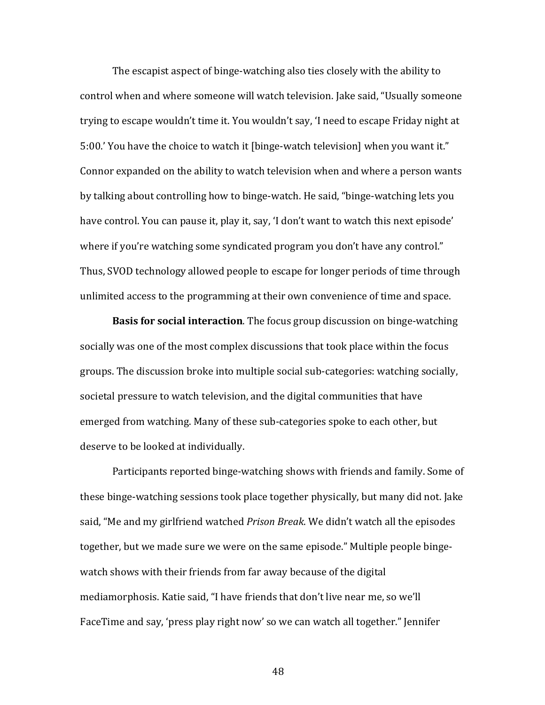The escapist aspect of binge-watching also ties closely with the ability to control when and where someone will watch television. Jake said, "Usually someone trying to escape wouldn't time it. You wouldn't say, 'I need to escape Friday night at 5:00.' You have the choice to watch it [binge-watch television] when you want it." Connor expanded on the ability to watch television when and where a person wants by talking about controlling how to binge-watch. He said, "binge-watching lets you have control. You can pause it, play it, say, 'I don't want to watch this next episode' where if you're watching some syndicated program you don't have any control." Thus, SVOD technology allowed people to escape for longer periods of time through unlimited access to the programming at their own convenience of time and space.

**Basis for social interaction**. The focus group discussion on binge-watching socially was one of the most complex discussions that took place within the focus groups. The discussion broke into multiple social sub-categories: watching socially, societal pressure to watch television, and the digital communities that have emerged from watching. Many of these sub-categories spoke to each other, but deserve to be looked at individually.

Participants reported binge-watching shows with friends and family. Some of these binge-watching sessions took place together physically, but many did not. Jake said, "Me and my girlfriend watched *Prison Break*. We didn't watch all the episodes together, but we made sure we were on the same episode." Multiple people bingewatch shows with their friends from far away because of the digital mediamorphosis. Katie said, "I have friends that don't live near me, so we'll FaceTime and say, 'press play right now' so we can watch all together." Jennifer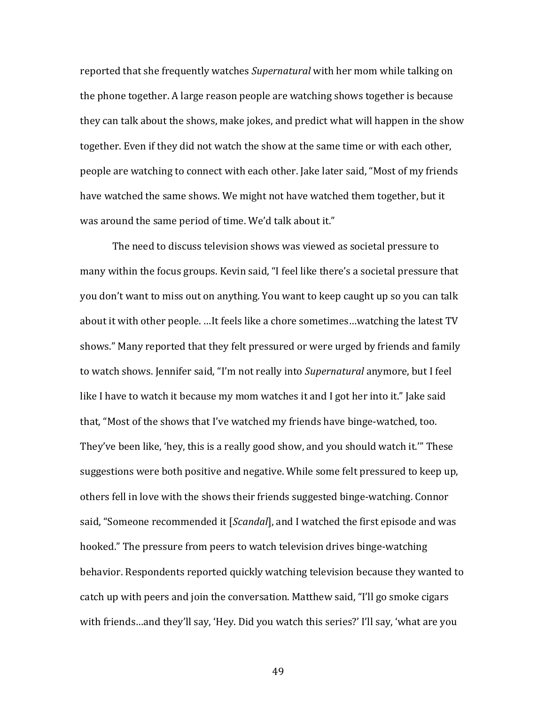reported that she frequently watches *Supernatural* with her mom while talking on the phone together. A large reason people are watching shows together is because they can talk about the shows, make jokes, and predict what will happen in the show together. Even if they did not watch the show at the same time or with each other, people are watching to connect with each other. Jake later said, "Most of my friends have watched the same shows. We might not have watched them together, but it was around the same period of time. We'd talk about it."

The need to discuss television shows was viewed as societal pressure to many within the focus groups. Kevin said, "I feel like there's a societal pressure that you don't want to miss out on anything. You want to keep caught up so you can talk about it with other people. …It feels like a chore sometimes…watching the latest TV shows." Many reported that they felt pressured or were urged by friends and family to watch shows. Jennifer said, "I'm not really into Supernatural anymore, but I feel like I have to watch it because my mom watches it and I got her into it." Jake said that, "Most of the shows that I've watched my friends have binge-watched, too. They've been like, 'hey, this is a really good show, and you should watch it.'" These suggestions were both positive and negative. While some felt pressured to keep up, others fell in love with the shows their friends suggested binge-watching. Connor said, "Someone recommended it [*Scandal*], and I watched the first episode and was hooked." The pressure from peers to watch television drives binge-watching behavior. Respondents reported quickly watching television because they wanted to catch up with peers and join the conversation. Matthew said, "I'll go smoke cigars with friends…and they'll say, 'Hey. Did you watch this series?' I'll say, 'what are you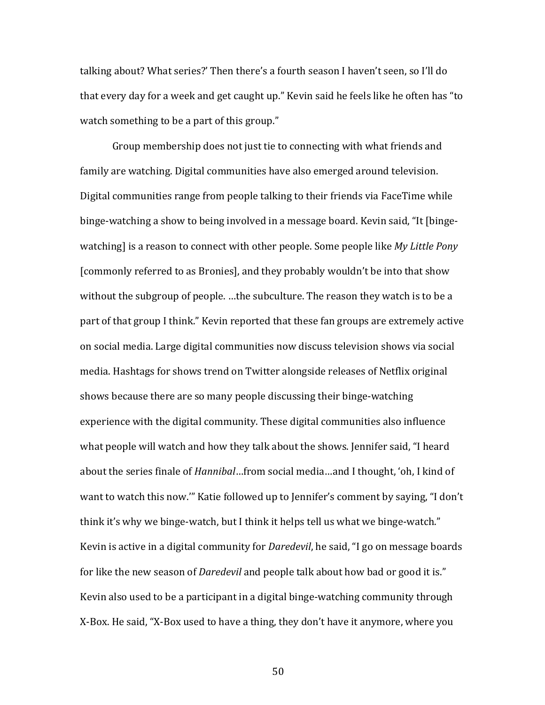talking about? What series?' Then there's a fourth season I haven't seen, so I'll do that every day for a week and get caught up." Kevin said he feels like he often has "to watch something to be a part of this group."

Group membership does not just tie to connecting with what friends and family are watching. Digital communities have also emerged around television. Digital communities range from people talking to their friends via FaceTime while binge-watching a show to being involved in a message board. Kevin said, "It [bingewatching] is a reason to connect with other people. Some people like *My Little Pony* [commonly referred to as Bronies], and they probably wouldn't be into that show without the subgroup of people. ...the subculture. The reason they watch is to be a part of that group I think." Kevin reported that these fan groups are extremely active on social media. Large digital communities now discuss television shows via social media. Hashtags for shows trend on Twitter alongside releases of Netflix original shows because there are so many people discussing their binge-watching experience with the digital community. These digital communities also influence what people will watch and how they talk about the shows. Jennifer said, "I heard about the series finale of *Hannibal*…from social media…and I thought, 'oh, I kind of want to watch this now."" Katie followed up to Jennifer's comment by saying, "I don't think it's why we binge-watch, but I think it helps tell us what we binge-watch." Kevin is active in a digital community for *Daredevil*, he said, "I go on message boards for like the new season of *Daredevil* and people talk about how bad or good it is." Kevin also used to be a participant in a digital binge-watching community through X-Box. He said, "X-Box used to have a thing, they don't have it anymore, where you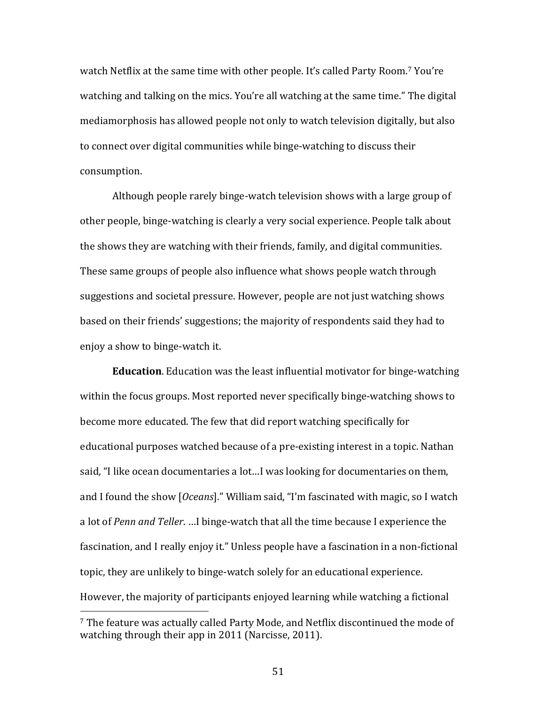watch Netflix at the same time with other people. It's called Party Room.<sup>7</sup> You're watching and talking on the mics. You're all watching at the same time." The digital mediamorphosis has allowed people not only to watch television digitally, but also to connect over digital communities while binge-watching to discuss their consumption.

Although people rarely binge-watch television shows with a large group of other people, binge-watching is clearly a very social experience. People talk about the shows they are watching with their friends, family, and digital communities. These same groups of people also influence what shows people watch through suggestions and societal pressure. However, people are not just watching shows based on their friends' suggestions; the majority of respondents said they had to enjoy a show to binge-watch it.

**Education**. Education was the least influential motivator for binge-watching within the focus groups. Most reported never specifically binge-watching shows to become more educated. The few that did report watching specifically for educational purposes watched because of a pre-existing interest in a topic. Nathan said, "I like ocean documentaries a lot...I was looking for documentaries on them, and I found the show [*Oceans*]." William said, "I'm fascinated with magic, so I watch a lot of *Penn and Teller.* …I binge-watch that all the time because I experience the fascination, and I really enjoy it." Unless people have a fascination in a non-fictional topic, they are unlikely to binge-watch solely for an educational experience. However, the majority of participants enjoyed learning while watching a fictional

<sup>&</sup>lt;sup>7</sup> The feature was actually called Party Mode, and Netflix discontinued the mode of watching through their app in 2011 (Narcisse, 2011).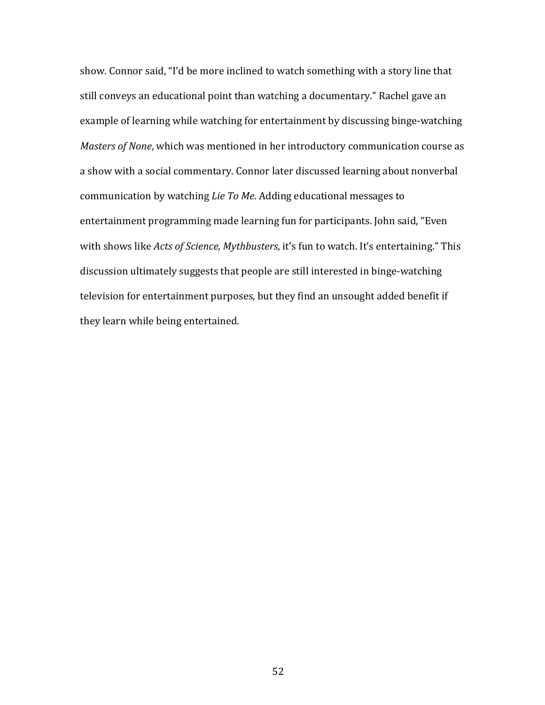show. Connor said, "I'd be more inclined to watch something with a story line that still conveys an educational point than watching a documentary." Rachel gave an example of learning while watching for entertainment by discussing binge-watching *Masters of None*, which was mentioned in her introductory communication course as a show with a social commentary. Connor later discussed learning about nonverbal communication by watching *Lie To Me*. Adding educational messages to entertainment programming made learning fun for participants. John said, "Even with shows like *Acts of Science*, *Mythbusters*, it's fun to watch. It's entertaining." This discussion ultimately suggests that people are still interested in binge-watching television for entertainment purposes, but they find an unsought added benefit if they learn while being entertained.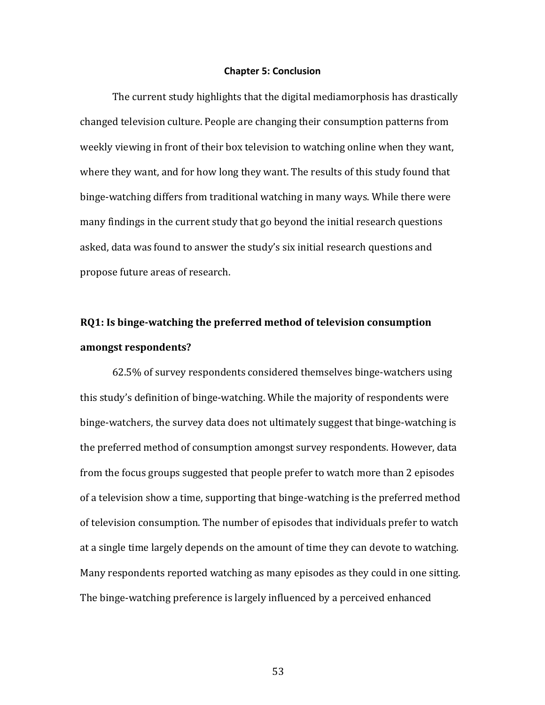#### **Chapter 5: Conclusion**

The current study highlights that the digital mediamorphosis has drastically changed television culture. People are changing their consumption patterns from weekly viewing in front of their box television to watching online when they want, where they want, and for how long they want. The results of this study found that binge-watching differs from traditional watching in many ways. While there were many findings in the current study that go beyond the initial research questions asked, data was found to answer the study's six initial research questions and propose future areas of research.

## **RQ1:** Is binge-watching the preferred method of television consumption **amongst respondents?**

62.5% of survey respondents considered themselves binge-watchers using this study's definition of binge-watching. While the majority of respondents were binge-watchers, the survey data does not ultimately suggest that binge-watching is the preferred method of consumption amongst survey respondents. However, data from the focus groups suggested that people prefer to watch more than 2 episodes of a television show a time, supporting that binge-watching is the preferred method of television consumption. The number of episodes that individuals prefer to watch at a single time largely depends on the amount of time they can devote to watching. Many respondents reported watching as many episodes as they could in one sitting. The binge-watching preference is largely influenced by a perceived enhanced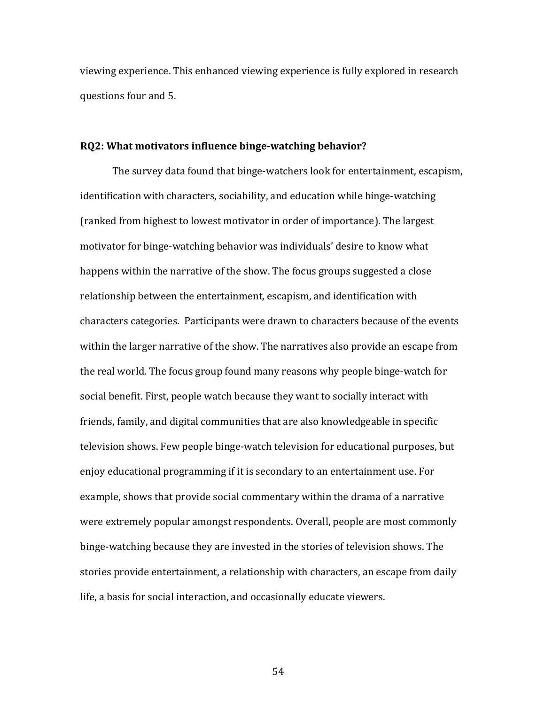viewing experience. This enhanced viewing experience is fully explored in research questions four and 5.

#### **RQ2:** What motivators influence binge-watching behavior?

The survey data found that binge-watchers look for entertainment, escapism, identification with characters, sociability, and education while binge-watching (ranked from highest to lowest motivator in order of importance). The largest motivator for binge-watching behavior was individuals' desire to know what happens within the narrative of the show. The focus groups suggested a close relationship between the entertainment, escapism, and identification with characters categories. Participants were drawn to characters because of the events within the larger narrative of the show. The narratives also provide an escape from the real world. The focus group found many reasons why people binge-watch for social benefit. First, people watch because they want to socially interact with friends, family, and digital communities that are also knowledgeable in specific television shows. Few people binge-watch television for educational purposes, but enjoy educational programming if it is secondary to an entertainment use. For example, shows that provide social commentary within the drama of a narrative were extremely popular amongst respondents. Overall, people are most commonly binge-watching because they are invested in the stories of television shows. The stories provide entertainment, a relationship with characters, an escape from daily life, a basis for social interaction, and occasionally educate viewers.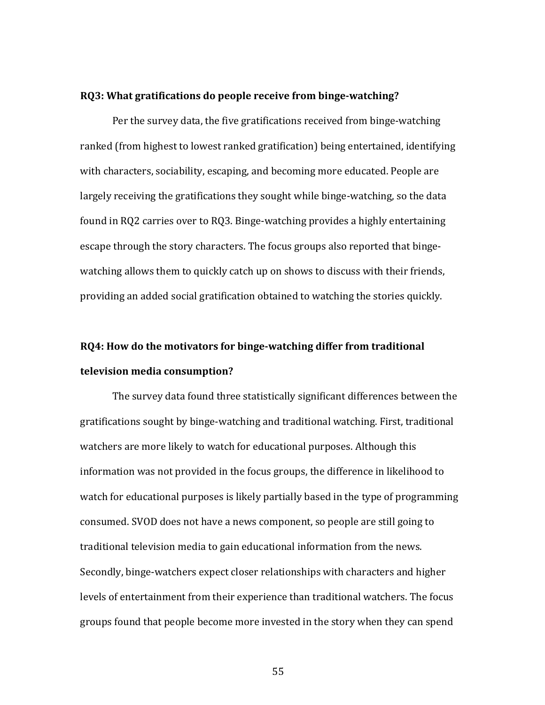#### **RQ3:** What gratifications do people receive from binge-watching?

Per the survey data, the five gratifications received from binge-watching ranked (from highest to lowest ranked gratification) being entertained, identifying with characters, sociability, escaping, and becoming more educated. People are largely receiving the gratifications they sought while binge-watching, so the data found in RQ2 carries over to RQ3. Binge-watching provides a highly entertaining escape through the story characters. The focus groups also reported that bingewatching allows them to quickly catch up on shows to discuss with their friends, providing an added social gratification obtained to watching the stories quickly.

# **RQ4:** How do the motivators for binge-watching differ from traditional **television media consumption?**

The survey data found three statistically significant differences between the gratifications sought by binge-watching and traditional watching. First, traditional watchers are more likely to watch for educational purposes. Although this information was not provided in the focus groups, the difference in likelihood to watch for educational purposes is likely partially based in the type of programming consumed. SVOD does not have a news component, so people are still going to traditional television media to gain educational information from the news. Secondly, binge-watchers expect closer relationships with characters and higher levels of entertainment from their experience than traditional watchers. The focus groups found that people become more invested in the story when they can spend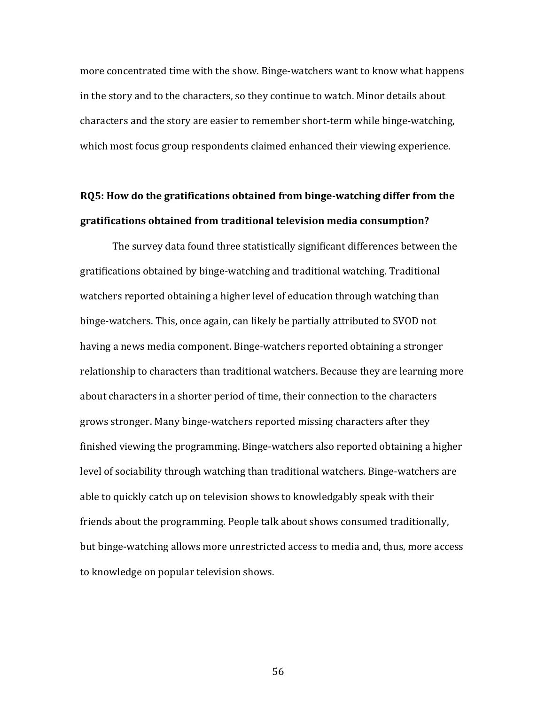more concentrated time with the show. Binge-watchers want to know what happens in the story and to the characters, so they continue to watch. Minor details about characters and the story are easier to remember short-term while binge-watching, which most focus group respondents claimed enhanced their viewing experience.

### **RQ5:** How do the gratifications obtained from binge-watching differ from the **gratifications obtained from traditional television media consumption?**

The survey data found three statistically significant differences between the gratifications obtained by binge-watching and traditional watching. Traditional watchers reported obtaining a higher level of education through watching than binge-watchers. This, once again, can likely be partially attributed to SVOD not having a news media component. Binge-watchers reported obtaining a stronger relationship to characters than traditional watchers. Because they are learning more about characters in a shorter period of time, their connection to the characters grows stronger. Many binge-watchers reported missing characters after they finished viewing the programming. Binge-watchers also reported obtaining a higher level of sociability through watching than traditional watchers. Binge-watchers are able to quickly catch up on television shows to knowledgably speak with their friends about the programming. People talk about shows consumed traditionally, but binge-watching allows more unrestricted access to media and, thus, more access to knowledge on popular television shows.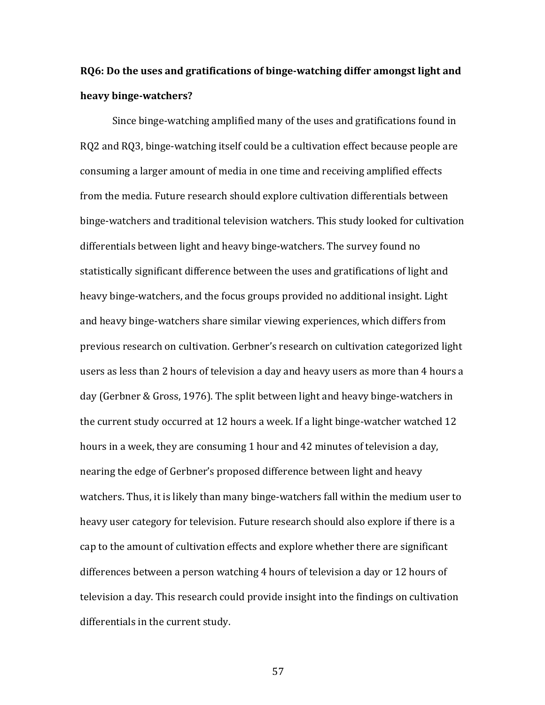## **RO6:** Do the uses and gratifications of binge-watching differ amongst light and **heavy binge-watchers?**

Since binge-watching amplified many of the uses and gratifications found in RQ2 and RQ3, binge-watching itself could be a cultivation effect because people are consuming a larger amount of media in one time and receiving amplified effects from the media. Future research should explore cultivation differentials between binge-watchers and traditional television watchers. This study looked for cultivation differentials between light and heavy binge-watchers. The survey found no statistically significant difference between the uses and gratifications of light and heavy binge-watchers, and the focus groups provided no additional insight. Light and heavy binge-watchers share similar viewing experiences, which differs from previous research on cultivation. Gerbner's research on cultivation categorized light users as less than 2 hours of television a day and heavy users as more than 4 hours a day (Gerbner & Gross, 1976). The split between light and heavy binge-watchers in the current study occurred at 12 hours a week. If a light binge-watcher watched 12 hours in a week, they are consuming 1 hour and 42 minutes of television a day, nearing the edge of Gerbner's proposed difference between light and heavy watchers. Thus, it is likely than many binge-watchers fall within the medium user to heavy user category for television. Future research should also explore if there is a cap to the amount of cultivation effects and explore whether there are significant differences between a person watching  $4$  hours of television a day or 12 hours of television a day. This research could provide insight into the findings on cultivation differentials in the current study.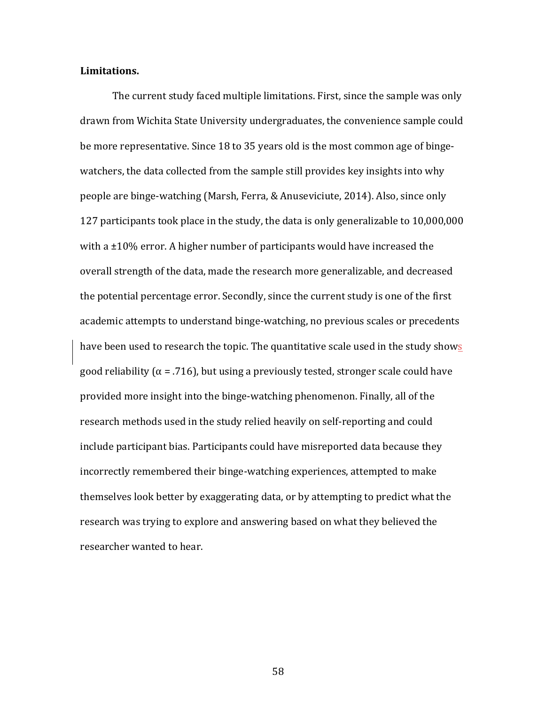#### **Limitations.**

The current study faced multiple limitations. First, since the sample was only drawn from Wichita State University undergraduates, the convenience sample could be more representative. Since 18 to 35 years old is the most common age of bingewatchers, the data collected from the sample still provides key insights into why people are binge-watching (Marsh, Ferra, & Anuseviciute, 2014). Also, since only 127 participants took place in the study, the data is only generalizable to 10,000,000 with a  $\pm 10$ % error. A higher number of participants would have increased the overall strength of the data, made the research more generalizable, and decreased the potential percentage error. Secondly, since the current study is one of the first academic attempts to understand binge-watching, no previous scales or precedents have been used to research the topic. The quantitative scale used in the study shows good reliability  $(\alpha = .716)$ , but using a previously tested, stronger scale could have provided more insight into the binge-watching phenomenon. Finally, all of the research methods used in the study relied heavily on self-reporting and could include participant bias. Participants could have misreported data because they incorrectly remembered their binge-watching experiences, attempted to make themselves look better by exaggerating data, or by attempting to predict what the research was trying to explore and answering based on what they believed the researcher wanted to hear.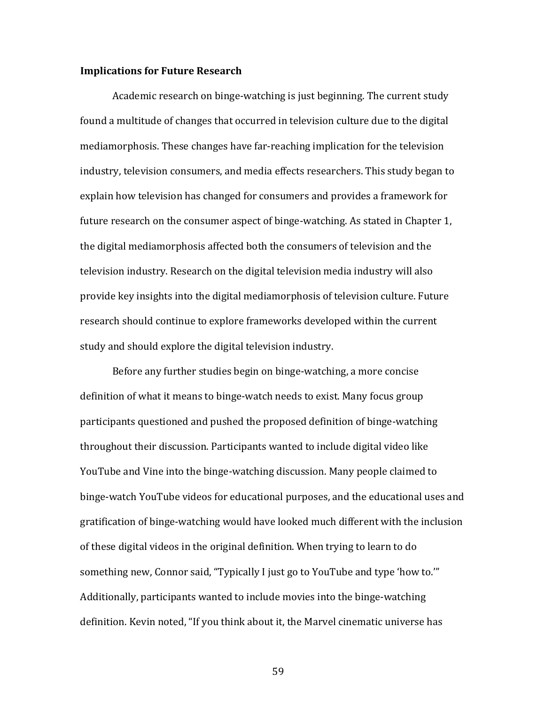#### **Implications for Future Research**

Academic research on binge-watching is just beginning. The current study found a multitude of changes that occurred in television culture due to the digital mediamorphosis. These changes have far-reaching implication for the television industry, television consumers, and media effects researchers. This study began to explain how television has changed for consumers and provides a framework for future research on the consumer aspect of binge-watching. As stated in Chapter 1, the digital mediamorphosis affected both the consumers of television and the television industry. Research on the digital television media industry will also provide key insights into the digital mediamorphosis of television culture. Future research should continue to explore frameworks developed within the current study and should explore the digital television industry.

Before any further studies begin on binge-watching, a more concise definition of what it means to binge-watch needs to exist. Many focus group participants questioned and pushed the proposed definition of binge-watching throughout their discussion. Participants wanted to include digital video like YouTube and Vine into the binge-watching discussion. Many people claimed to binge-watch YouTube videos for educational purposes, and the educational uses and gratification of binge-watching would have looked much different with the inclusion of these digital videos in the original definition. When trying to learn to do something new, Connor said, "Typically I just go to YouTube and type 'how to."" Additionally, participants wanted to include movies into the binge-watching definition. Kevin noted, "If you think about it, the Marvel cinematic universe has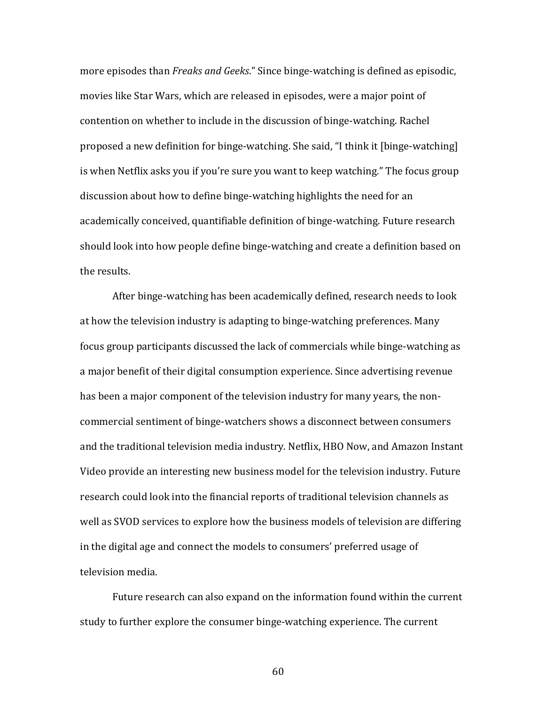more episodes than *Freaks and Geeks*." Since binge-watching is defined as episodic, movies like Star Wars, which are released in episodes, were a major point of contention on whether to include in the discussion of binge-watching. Rachel proposed a new definition for binge-watching. She said, "I think it [binge-watching] is when Netflix asks you if you're sure you want to keep watching." The focus group discussion about how to define binge-watching highlights the need for an academically conceived, quantifiable definition of binge-watching. Future research should look into how people define binge-watching and create a definition based on the results.

After binge-watching has been academically defined, research needs to look at how the television industry is adapting to binge-watching preferences. Many focus group participants discussed the lack of commercials while binge-watching as a major benefit of their digital consumption experience. Since advertising revenue has been a major component of the television industry for many years, the noncommercial sentiment of binge-watchers shows a disconnect between consumers and the traditional television media industry. Netflix, HBO Now, and Amazon Instant Video provide an interesting new business model for the television industry. Future research could look into the financial reports of traditional television channels as well as SVOD services to explore how the business models of television are differing in the digital age and connect the models to consumers' preferred usage of television media.

Future research can also expand on the information found within the current study to further explore the consumer binge-watching experience. The current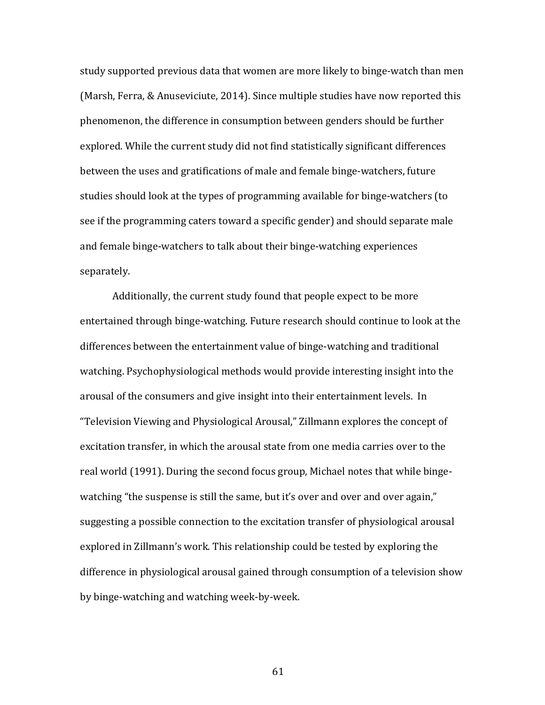study supported previous data that women are more likely to binge-watch than men (Marsh, Ferra,  $&$  Anuseviciute, 2014). Since multiple studies have now reported this phenomenon, the difference in consumption between genders should be further explored. While the current study did not find statistically significant differences between the uses and gratifications of male and female binge-watchers, future studies should look at the types of programming available for binge-watchers (to see if the programming caters toward a specific gender) and should separate male and female binge-watchers to talk about their binge-watching experiences separately. 

Additionally, the current study found that people expect to be more entertained through binge-watching. Future research should continue to look at the differences between the entertainment value of binge-watching and traditional watching. Psychophysiological methods would provide interesting insight into the arousal of the consumers and give insight into their entertainment levels. In "Television Viewing and Physiological Arousal," Zillmann explores the concept of excitation transfer, in which the arousal state from one media carries over to the real world (1991). During the second focus group, Michael notes that while bingewatching "the suspense is still the same, but it's over and over and over again," suggesting a possible connection to the excitation transfer of physiological arousal explored in Zillmann's work. This relationship could be tested by exploring the difference in physiological arousal gained through consumption of a television show by binge-watching and watching week-by-week.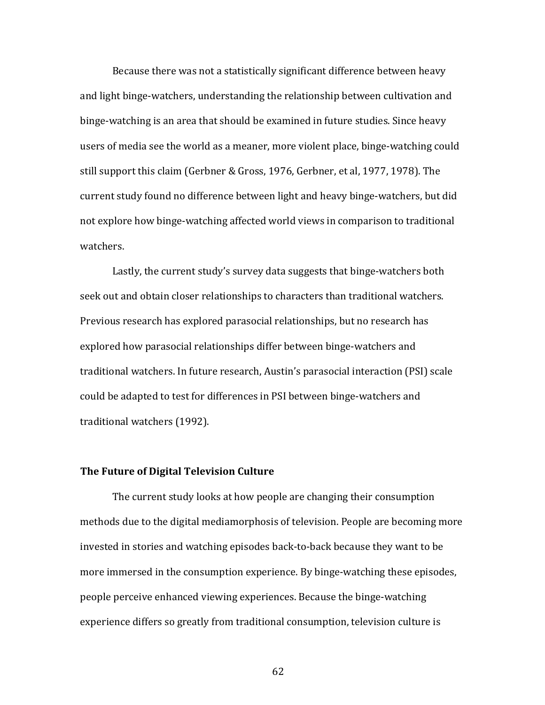Because there was not a statistically significant difference between heavy and light binge-watchers, understanding the relationship between cultivation and binge-watching is an area that should be examined in future studies. Since heavy users of media see the world as a meaner, more violent place, binge-watching could still support this claim (Gerbner & Gross, 1976, Gerbner, et al, 1977, 1978). The current study found no difference between light and heavy binge-watchers, but did not explore how binge-watching affected world views in comparison to traditional watchers.

Lastly, the current study's survey data suggests that binge-watchers both seek out and obtain closer relationships to characters than traditional watchers. Previous research has explored parasocial relationships, but no research has explored how parasocial relationships differ between binge-watchers and traditional watchers. In future research, Austin's parasocial interaction (PSI) scale could be adapted to test for differences in PSI between binge-watchers and traditional watchers (1992).

### **The Future of Digital Television Culture**

The current study looks at how people are changing their consumption methods due to the digital mediamorphosis of television. People are becoming more invested in stories and watching episodes back-to-back because they want to be more immersed in the consumption experience. By binge-watching these episodes, people perceive enhanced viewing experiences. Because the binge-watching experience differs so greatly from traditional consumption, television culture is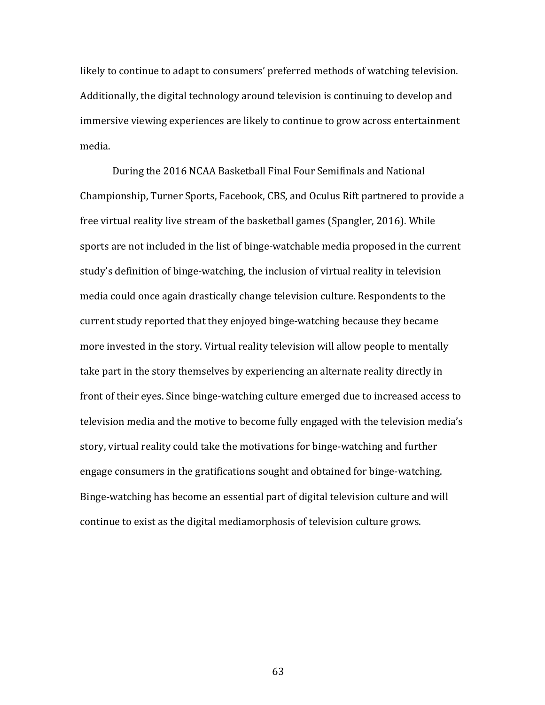likely to continue to adapt to consumers' preferred methods of watching television. Additionally, the digital technology around television is continuing to develop and immersive viewing experiences are likely to continue to grow across entertainment media. 

During the 2016 NCAA Basketball Final Four Semifinals and National Championship, Turner Sports, Facebook, CBS, and Oculus Rift partnered to provide a free virtual reality live stream of the basketball games (Spangler, 2016). While sports are not included in the list of binge-watchable media proposed in the current study's definition of binge-watching, the inclusion of virtual reality in television media could once again drastically change television culture. Respondents to the current study reported that they enjoyed binge-watching because they became more invested in the story. Virtual reality television will allow people to mentally take part in the story themselves by experiencing an alternate reality directly in front of their eyes. Since binge-watching culture emerged due to increased access to television media and the motive to become fully engaged with the television media's story, virtual reality could take the motivations for binge-watching and further engage consumers in the gratifications sought and obtained for binge-watching. Binge-watching has become an essential part of digital television culture and will continue to exist as the digital mediamorphosis of television culture grows.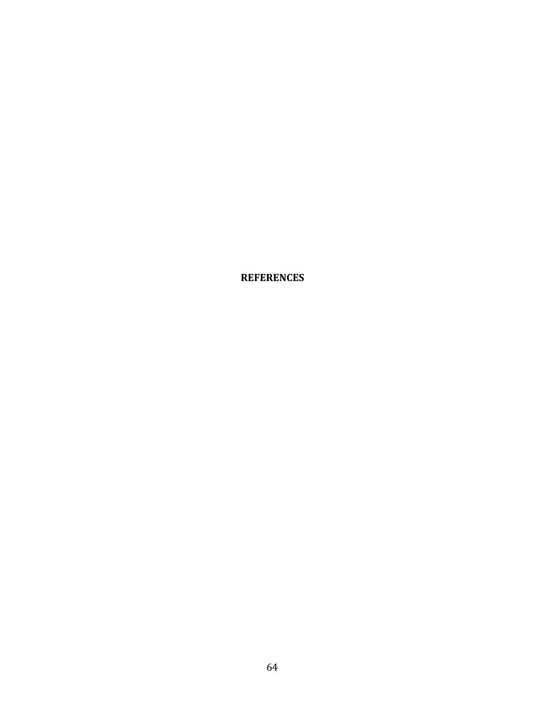**REFERENCES**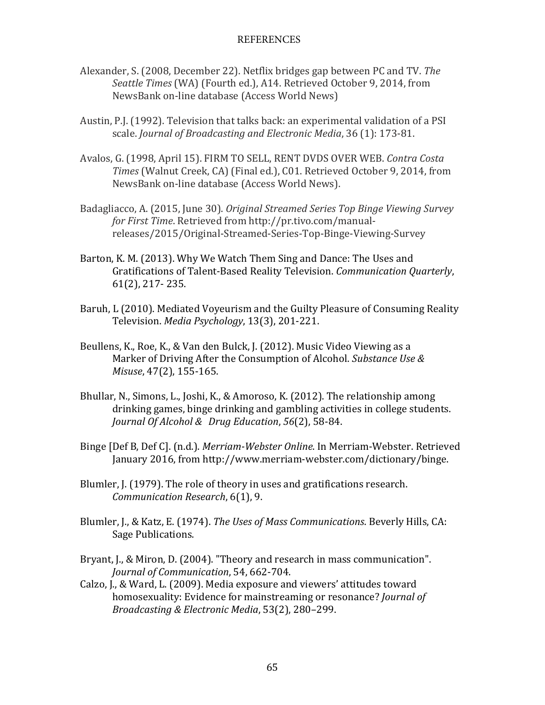## REFERENCES

- Alexander, S. (2008, December 22). Netflix bridges gap between PC and TV. The Seattle Times (WA) (Fourth ed.), A14. Retrieved October 9, 2014, from NewsBank on-line database (Access World News)
- Austin, P.J. (1992). Television that talks back: an experimental validation of a PSI scale. *Journal of Broadcasting and Electronic Media*, 36 (1): 173-81.
- Avalos, G. (1998, April 15). FIRM TO SELL, RENT DVDS OVER WEB. Contra Costa *Times* (Walnut Creek, CA) (Final ed.), C01. Retrieved October 9, 2014, from NewsBank on-line database (Access World News).
- Badagliacco, A. (2015, June 30). *Original Streamed Series Top Binge Viewing Survey for First Time*. Retrieved from http://pr.tivo.com/manualreleases/2015/Original-Streamed-Series-Top-Binge-Viewing-Survey
- Barton, K. M. (2013). Why We Watch Them Sing and Dance: The Uses and Gratifications of Talent-Based Reality Television. *Communication Quarterly*,  $61(2)$ , 217 - 235.
- Baruh, L (2010). Mediated Voyeurism and the Guilty Pleasure of Consuming Reality Television. *Media Psychology*, 13(3), 201-221.
- Beullens, K., Roe, K., & Van den Bulck, J. (2012). Music Video Viewing as a Marker of Driving After the Consumption of Alcohol. *Substance Use & Misuse*, 47(2), 155-165.
- Bhullar, N., Simons, L., Joshi, K., & Amoroso, K. (2012). The relationship among drinking games, binge drinking and gambling activities in college students. *Journal Of Alcohol & Drug Education,* 56(2), 58-84.
- Binge [Def B, Def C]. (n.d.). *Merriam-Webster Online*. In Merriam-Webster. Retrieved January 2016, from http://www.merriam-webster.com/dictionary/binge.
- Blumler, J. (1979). The role of theory in uses and gratifications research. *Communication Research*, 6(1), 9.
- Blumler, J., & Katz, E. (1974). *The Uses of Mass Communications*. Beverly Hills, CA: Sage Publications.
- Bryant, J., & Miron, D. (2004). "Theory and research in mass communication". *Journal of Communication*, 54, 662-704.
- Calzo, J., & Ward, L. (2009). Media exposure and viewers' attitudes toward homosexuality: Evidence for mainstreaming or resonance? *Journal of Broadcasting & Electronic Media,* 53(2), 280-299.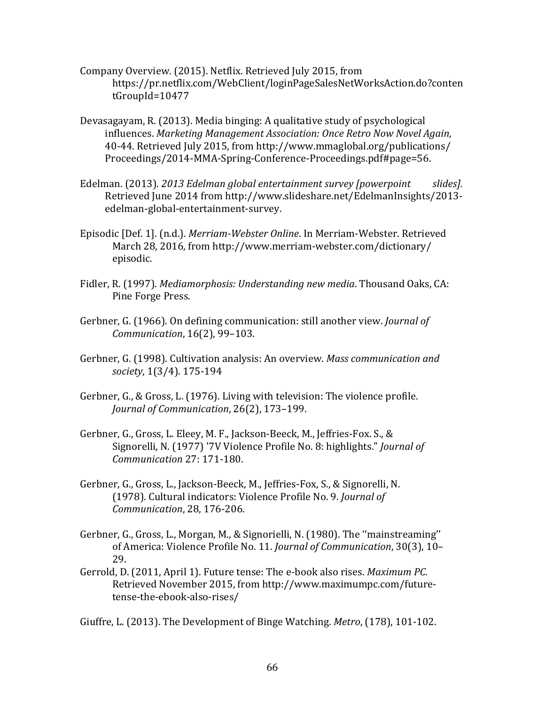- Company Overview. (2015). Netflix. Retrieved July 2015, from https://pr.netflix.com/WebClient/loginPageSalesNetWorksAction.do?conten tGroupId=10477
- Devasagayam, R. (2013). Media binging: A qualitative study of psychological influences. *Marketing Management Association: Once Retro Now Novel Again,* 40-44. Retrieved July 2015, from http://www.mmaglobal.org/publications/ Proceedings/2014-MMA-Spring-Conference-Proceedings.pdf#page=56.
- Edelman. (2013). 2013 Edelman global entertainment survey [powerpoint slides]. Retrieved June 2014 from http://www.slideshare.net/EdelmanInsights/2013edelman-global-entertainment-survey.
- Episodic [Def. 1]. (n.d.). *Merriam-Webster Online*. In Merriam-Webster. Retrieved March 28, 2016, from http://www.merriam-webster.com/dictionary/ episodic.
- Fidler, R. (1997). *Mediamorphosis: Understanding new media*. Thousand Oaks, CA: Pine Forge Press.
- Gerbner, G. (1966). On defining communication: still another view. *Journal of Communication*, 16(2), 99-103.
- Gerbner, G. (1998). Cultivation analysis: An overview. *Mass communication and society*, 1(3/4). 175-194
- Gerbner, G., & Gross, L. (1976). Living with television: The violence profile. *Journal of Communication*, 26(2), 173-199.
- Gerbner, G., Gross, L. Eleey, M. F., Jackson-Beeck, M., Jeffries-Fox. S., & Signorelli, N. (1977) '7V Violence Profile No. 8: highlights." *Journal of Communication* 27: 171-180.
- Gerbner, G., Gross, L., Jackson-Beeck, M., Jeffries-Fox, S., & Signorelli, N. (1978). Cultural indicators: Violence Profile No. 9. *Journal of Communication*, 28, 176-206.
- Gerbner, G., Gross, L., Morgan, M., & Signorielli, N. (1980). The "mainstreaming" of America: Violence Profile No. 11. *Journal of Communication*, 30(3), 10-29.
- Gerrold, D. (2011, April 1). Future tense: The e-book also rises. *Maximum PC*. Retrieved November 2015, from http://www.maximumpc.com/futuretense-the-ebook-also-rises/

Giuffre, L. (2013). The Development of Binge Watching. *Metro*, (178), 101-102.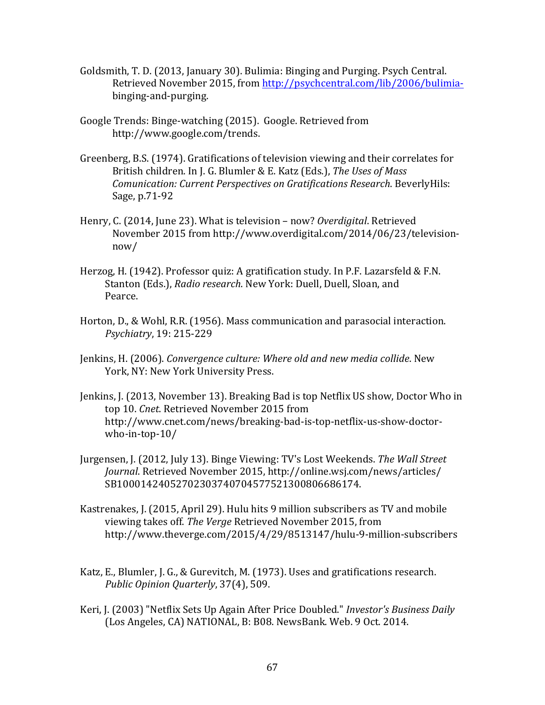- Goldsmith, T. D. (2013, January 30). Bulimia: Binging and Purging. Psych Central. Retrieved November 2015, from http://psychcentral.com/lib/2006/bulimiabinging-and-purging.
- Google Trends: Binge-watching (2015). Google. Retrieved from http://www.google.com/trends.
- Greenberg, B.S. (1974). Gratifications of television viewing and their correlates for British children. In J. G. Blumler & E. Katz (Eds.), The Uses of Mass *Comunication: Current Perspectives on Gratifications Research*. BeverlyHils: Sage, p.71-92
- Henry, C. (2014, June 23). What is television now? *Overdigital*. Retrieved November 2015 from http://www.overdigital.com/2014/06/23/televisionnow/
- Herzog, H. (1942). Professor quiz: A gratification study. In P.F. Lazarsfeld & F.N. Stanton (Eds.), *Radio research*. New York: Duell, Duell, Sloan, and Pearce.
- Horton, D., & Wohl, R.R. (1956). Mass communication and parasocial interaction. *Psychiatry*, 19: 215-229
- Jenkins, H. (2006). *Convergence culture: Where old and new media collide*. New York, NY: New York University Press.
- Jenkins, J. (2013, November 13). Breaking Bad is top Netflix US show, Doctor Who in top 10. *Cnet*. Retrieved November 2015 from http://www.cnet.com/news/breaking-bad-is-top-netflix-us-show-doctorwho-in-top-10/
- Jurgensen, J. (2012, July 13). Binge Viewing: TV's Lost Weekends. The Wall Street *Journal*. Retrieved November 2015, http://online.wsj.com/news/articles/ SB10001424052702303740704577521300806686174.
- Kastrenakes, J. (2015, April 29). Hulu hits 9 million subscribers as TV and mobile viewing takes off. *The Verge* Retrieved November 2015, from http://www.theverge.com/2015/4/29/8513147/hulu-9-million-subscribers
- Katz, E., Blumler, J. G., & Gurevitch, M. (1973). Uses and gratifications research. *Public Opinion Ouarterly*, 37(4), 509.
- Keri, J. (2003) "Netflix Sets Up Again After Price Doubled." *Investor's Business Daily* (Los Angeles, CA) NATIONAL, B: B08. NewsBank. Web. 9 Oct. 2014.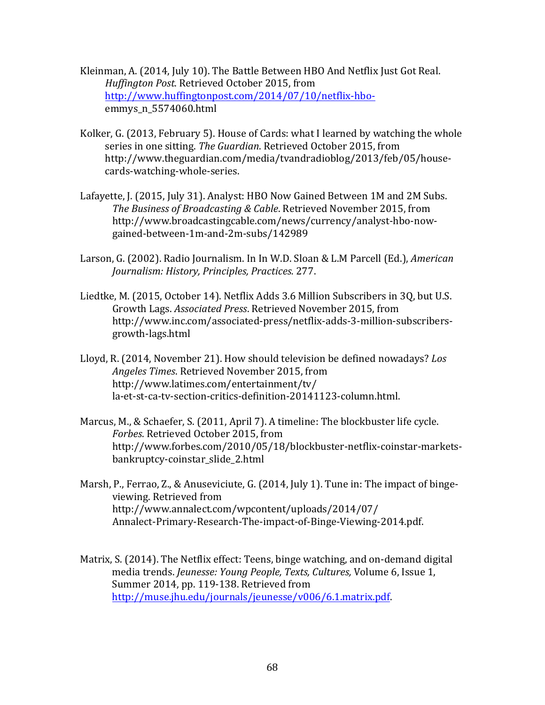- Kleinman, A. (2014, July 10). The Battle Between HBO And Netflix Just Got Real. *Huffington Post*. Retrieved October 2015, from http://www.huffingtonpost.com/2014/07/10/netflix-hboemmys\_n\_5574060.html
- Kolker, G. (2013, February 5). House of Cards: what I learned by watching the whole series in one sitting. The Guardian. Retrieved October 2015, from http://www.theguardian.com/media/tvandradioblog/2013/feb/05/housecards-watching-whole-series.
- Lafayette, J. (2015, July 31). Analyst: HBO Now Gained Between 1M and 2M Subs. *The Business of Broadcasting & Cable*. Retrieved November 2015, from http://www.broadcastingcable.com/news/currency/analyst-hbo-nowgained-between-1m-and-2m-subs/142989
- Larson, G. (2002). Radio Journalism. In In W.D. Sloan & L.M Parcell (Ed.), *American Journalism: History, Principles, Practices.* 277.
- Liedtke, M. (2015, October 14). Netflix Adds 3.6 Million Subscribers in 3Q, but U.S. Growth Lags. *Associated Press*. Retrieved November 2015, from http://www.inc.com/associated-press/netflix-adds-3-million-subscribersgrowth-lags.html
- Lloyd, R. (2014, November 21). How should television be defined nowadays? Los *Angeles Times*. Retrieved November 2015, from http://www.latimes.com/entertainment/tv/ la-et-st-ca-tv-section-critics-definition-20141123-column.html.
- Marcus, M., & Schaefer, S. (2011, April 7). A timeline: The blockbuster life cycle. *Forbes*. Retrieved October 2015, from http://www.forbes.com/2010/05/18/blockbuster-netflix-coinstar-marketsbankruptcy-coinstar\_slide\_2.html
- Marsh, P., Ferrao, Z., & Anuseviciute, G. (2014, July 1). Tune in: The impact of bingeviewing. Retrieved from http://www.annalect.com/wpcontent/uploads/2014/07/ Annalect-Primary-Research-The-impact-of-Binge-Viewing-2014.pdf.
- Matrix, S. (2014). The Netflix effect: Teens, binge watching, and on-demand digital media trends. *Jeunesse: Young People, Texts, Cultures, Volume 6, Issue 1,* Summer 2014, pp. 119-138. Retrieved from http://muse.jhu.edu/journals/jeunesse/v006/6.1.matrix.pdf.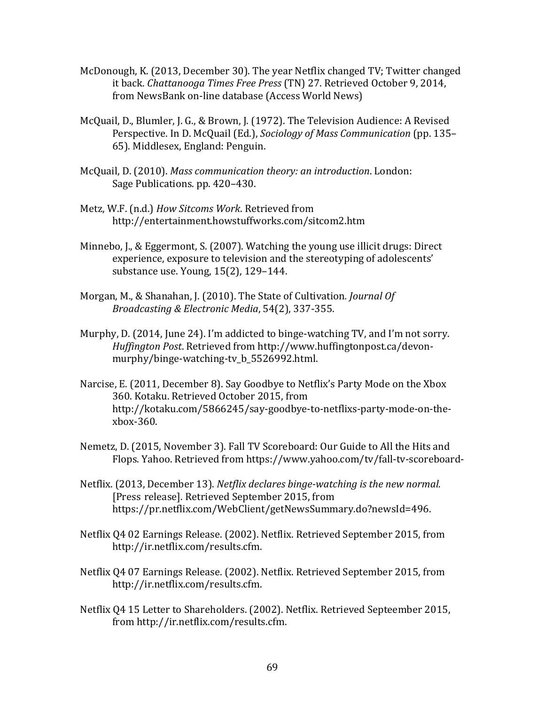- McDonough, K. (2013, December 30). The year Netflix changed  $TV$ ; Twitter changed it back. *Chattanooga Times Free Press* (TN) 27. Retrieved October 9, 2014, from NewsBank on-line database (Access World News)
- McQuail, D., Blumler, J. G., & Brown, J. (1972). The Television Audience: A Revised Perspective. In D. McQuail (Ed.), *Sociology of Mass Communication* (pp. 135– 65). Middlesex, England: Penguin.
- McQuail, D. (2010). *Mass communication theory: an introduction*. London: Sage Publications. pp. 420-430.
- Metz, W.F. (n.d.) How Sitcoms Work. Retrieved from http://entertainment.howstuffworks.com/sitcom2.htm
- Minnebo, J., & Eggermont, S. (2007). Watching the young use illicit drugs: Direct experience, exposure to television and the stereotyping of adolescents' substance use. Young, 15(2), 129-144.
- Morgan, M., & Shanahan, J. (2010). The State of Cultivation. *Journal Of Broadcasting & Electronic Media*, 54(2), 337-355.
- Murphy, D.  $(2014, \text{June } 24)$ . I'm addicted to binge-watching TV, and I'm not sorry. *Huffington Post*. Retrieved from http://www.huffingtonpost.ca/devonmurphy/binge-watching-tv\_b\_5526992.html.
- Narcise, E. (2011, December 8). Say Goodbye to Netflix's Party Mode on the Xbox 360. Kotaku. Retrieved October 2015, from http://kotaku.com/5866245/say-goodbye-to-netflixs-party-mode-on-thexbox-360.
- Nemetz, D. (2015, November 3). Fall TV Scoreboard: Our Guide to All the Hits and Flops. Yahoo. Retrieved from https://www.yahoo.com/tv/fall-tv-scoreboard-
- Netflix. (2013, December 13). *Netflix declares binge-watching is the new normal.* [Press release]. Retrieved September 2015, from https://pr.netflix.com/WebClient/getNewsSummary.do?newsId=496.
- Netflix 04 02 Earnings Release. (2002). Netflix. Retrieved September 2015, from http://ir.netflix.com/results.cfm.
- Netflix Q4 07 Earnings Release. (2002). Netflix. Retrieved September 2015, from http://ir.netflix.com/results.cfm.
- Netflix Q4 15 Letter to Shareholders. (2002). Netflix. Retrieved Septeember 2015, from http://ir.netflix.com/results.cfm.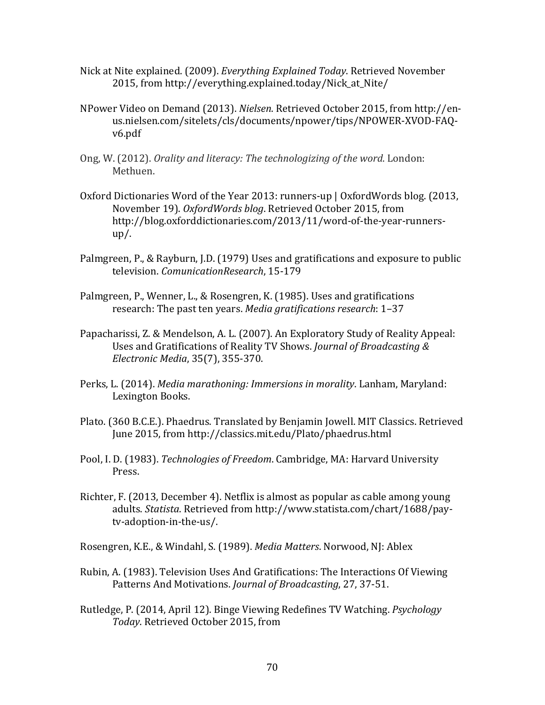- Nick at Nite explained. (2009). *Everything Explained Today*. Retrieved November 2015, from http://everything.explained.today/Nick at Nite/
- NPower Video on Demand (2013). *Nielsen*. Retrieved October 2015, from http://enus.nielsen.com/sitelets/cls/documents/npower/tips/NPOWER-XVOD-FAQv6.pdf
- Ong, W. (2012). *Orality and literacy: The technologizing of the word*. London: Methuen.
- Oxford Dictionaries Word of the Year 2013: runners-up | OxfordWords blog. (2013, November 19). OxfordWords blog. Retrieved October 2015, from http://blog.oxforddictionaries.com/2013/11/word-of-the-year-runnersup/.
- Palmgreen, P., & Rayburn, J.D. (1979) Uses and gratifications and exposure to public television. *ComunicationResearch*, 15-179
- Palmgreen, P., Wenner, L., & Rosengren, K. (1985). Uses and gratifications research: The past ten years. *Media gratifications research*: 1-37
- Papacharissi, Z. & Mendelson, A. L. (2007). An Exploratory Study of Reality Appeal: Uses and Gratifications of Reality TV Shows. *Journal of Broadcasting & Electronic Media*, 35(7), 355-370.
- Perks, L. (2014). *Media marathoning: Immersions in morality*. Lanham, Maryland: Lexington Books.
- Plato. (360 B.C.E.). Phaedrus. Translated by Benjamin Jowell. MIT Classics. Retrieved June 2015, from http://classics.mit.edu/Plato/phaedrus.html
- Pool, I. D. (1983). *Technologies of Freedom*. Cambridge, MA: Harvard University Press.
- Richter, F. (2013, December 4). Netflix is almost as popular as cable among young adults. *Statista*. Retrieved from http://www.statista.com/chart/1688/paytv-adoption-in-the-us/.

Rosengren, K.E., & Windahl, S. (1989). *Media Matters*. Norwood, NJ: Ablex

- Rubin, A. (1983). Television Uses And Gratifications: The Interactions Of Viewing Patterns And Motivations. *Journal of Broadcasting*, 27, 37-51.
- Rutledge, P. (2014, April 12). Binge Viewing Redefines TV Watching. *Psychology Today*. Retrieved October 2015, from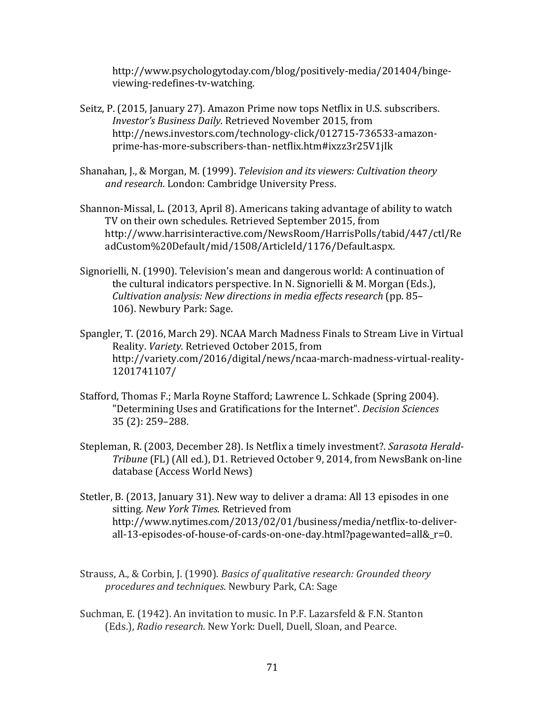http://www.psychologytoday.com/blog/positively-media/201404/bingeviewing-redefines-tv-watching.

- Seitz, P. (2015, January 27). Amazon Prime now tops Netflix in U.S. subscribers. *Investor's Business Daily*. Retrieved November 2015, from http://news.investors.com/technology-click/012715-736533-amazonprime-has-more-subscribers-than-netflix.htm#ixzz3r25V1jIk
- Shanahan, J., & Morgan, M. (1999). *Television and its viewers: Cultivation theory* and research. London: Cambridge University Press.
- Shannon-Missal, L. (2013, April 8). Americans taking advantage of ability to watch TV on their own schedules. Retrieved September 2015, from http://www.harrisinteractive.com/NewsRoom/HarrisPolls/tabid/447/ctl/Re adCustom%20Default/mid/1508/ArticleId/1176/Default.aspx.
- Signorielli, N. (1990). Television's mean and dangerous world: A continuation of the cultural indicators perspective. In N. Signorielli & M. Morgan (Eds.), *Cultivation analysis: New directions in media effects research* (pp. 85– 106). Newbury Park: Sage.
- Spangler, T. (2016, March 29). NCAA March Madness Finals to Stream Live in Virtual Reality. *Variety*. Retrieved October 2015, from http://variety.com/2016/digital/news/ncaa-march-madness-virtual-reality-1201741107/
- Stafford, Thomas F.; Marla Royne Stafford; Lawrence L. Schkade (Spring 2004). "Determining Uses and Gratifications for the Internet". *Decision Sciences* 35 (2): 259–288.
- Stepleman, R. (2003, December 28). Is Netflix a timely investment?. Sarasota Herald-*Tribune* (FL) (All ed.), D1. Retrieved October 9, 2014, from NewsBank on-line database (Access World News)
- Stetler, B. (2013, January 31). New way to deliver a drama: All 13 episodes in one sitting. New York Times. Retrieved from http://www.nytimes.com/2013/02/01/business/media/netflix-to-deliverall-13-episodes-of-house-of-cards-on-one-day.html?pagewanted=all&\_r=0.
- Strauss, A., & Corbin, J. (1990). *Basics of qualitative research: Grounded theory procedures and techniques.* Newbury Park, CA: Sage
- Suchman, E. (1942). An invitation to music. In P.F. Lazarsfeld  $&$  F.N. Stanton (Eds.), Radio research. New York: Duell, Duell, Sloan, and Pearce.